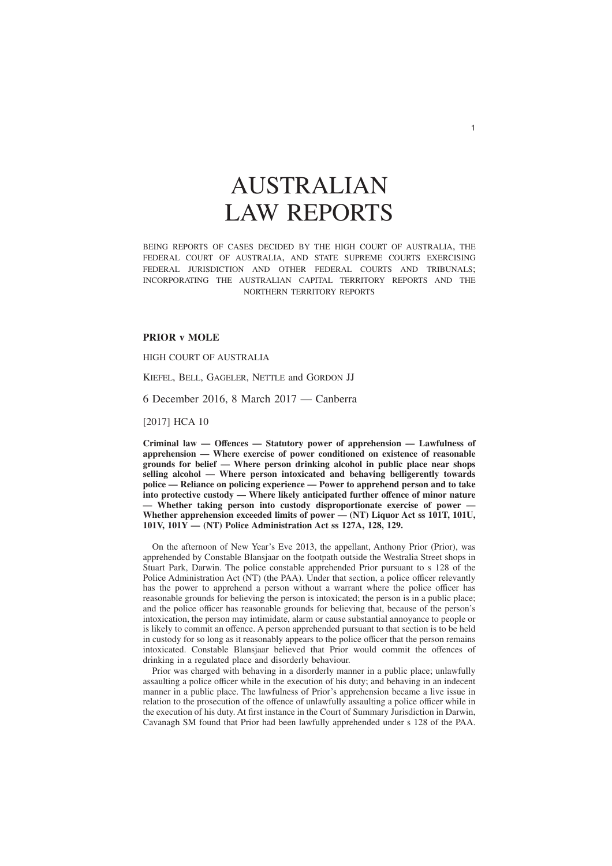# AUSTRALIAN LAW REPORTS

BEING REPORTS OF CASES DECIDED BY THE HIGH COURT OF AUSTRALIA, THE FEDERAL COURT OF AUSTRALIA, AND STATE SUPREME COURTS EXERCISING FEDERAL JURISDICTION AND OTHER FEDERAL COURTS AND TRIBUNALS; INCORPORATING THE AUSTRALIAN CAPITAL TERRITORY REPORTS AND THE NORTHERN TERRITORY REPORTS

## **PRIOR v MOLE**

HIGH COURT OF AUSTRALIA

KIEFEL, BELL, GAGELER, NETTLE and GORDON JJ

6 December 2016, 8 March 2017 — Canberra

[2017] HCA 10

**Criminal law — Offences — Statutory power of apprehension — Lawfulness of apprehension — Where exercise of power conditioned on existence of reasonable grounds for belief — Where person drinking alcohol in public place near shops selling alcohol — Where person intoxicated and behaving belligerently towards police — Reliance on policing experience — Power to apprehend person and to take into protective custody — Where likely anticipated further offence of minor nature — Whether taking person into custody disproportionate exercise of power — Whether apprehension exceeded limits of power — (NT) Liquor Act ss 101T, 101U, 101V, 101Y — (NT) Police Administration Act ss 127A, 128, 129.**

On the afternoon of New Year's Eve 2013, the appellant, Anthony Prior (Prior), was apprehended by Constable Blansjaar on the footpath outside the Westralia Street shops in Stuart Park, Darwin. The police constable apprehended Prior pursuant to s 128 of the Police Administration Act (NT) (the PAA). Under that section, a police officer relevantly has the power to apprehend a person without a warrant where the police officer has reasonable grounds for believing the person is intoxicated; the person is in a public place; and the police officer has reasonable grounds for believing that, because of the person's intoxication, the person may intimidate, alarm or cause substantial annoyance to people or is likely to commit an offence. A person apprehended pursuant to that section is to be held in custody for so long as it reasonably appears to the police officer that the person remains intoxicated. Constable Blansjaar believed that Prior would commit the offences of drinking in a regulated place and disorderly behaviour.

Prior was charged with behaving in a disorderly manner in a public place; unlawfully assaulting a police officer while in the execution of his duty; and behaving in an indecent manner in a public place. The lawfulness of Prior's apprehension became a live issue in relation to the prosecution of the offence of unlawfully assaulting a police officer while in the execution of his duty. At first instance in the Court of Summary Jurisdiction in Darwin, Cavanagh SM found that Prior had been lawfully apprehended under s 128 of the PAA.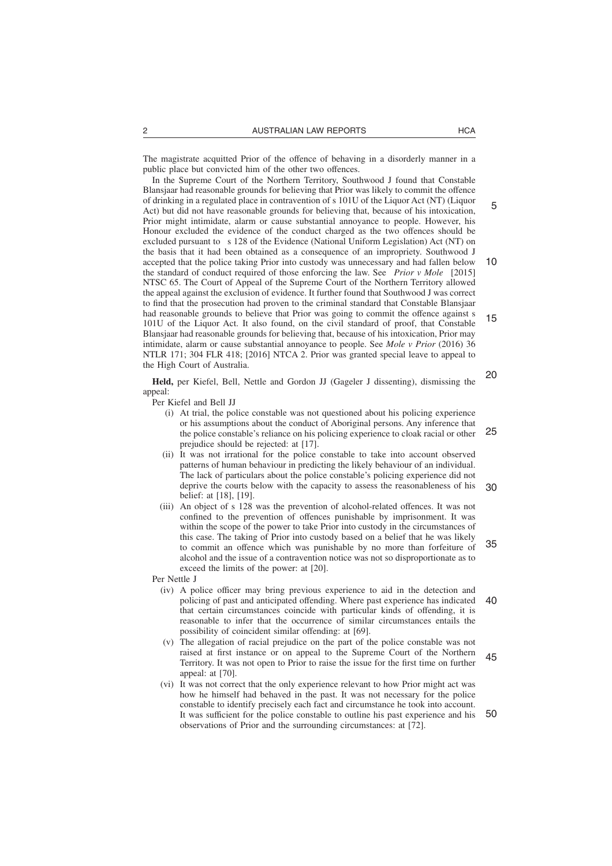The magistrate acquitted Prior of the offence of behaving in a disorderly manner in a public place but convicted him of the other two offences.

In the Supreme Court of the Northern Territory, Southwood J found that Constable Blansjaar had reasonable grounds for believing that Prior was likely to commit the offence of drinking in a regulated place in contravention of s 101U of the Liquor Act (NT) (Liquor Act) but did not have reasonable grounds for believing that, because of his intoxication, Prior might intimidate, alarm or cause substantial annoyance to people. However, his Honour excluded the evidence of the conduct charged as the two offences should be excluded pursuant to s 128 of the Evidence (National Uniform Legislation) Act (NT) on the basis that it had been obtained as a consequence of an impropriety. Southwood J accepted that the police taking Prior into custody was unnecessary and had fallen below the standard of conduct required of those enforcing the law. See *Prior v Mole* [2015] NTSC 65. The Court of Appeal of the Supreme Court of the Northern Territory allowed the appeal against the exclusion of evidence. It further found that Southwood J was correct to find that the prosecution had proven to the criminal standard that Constable Blansjaar had reasonable grounds to believe that Prior was going to commit the offence against s 101U of the Liquor Act. It also found, on the civil standard of proof, that Constable Blansjaar had reasonable grounds for believing that, because of his intoxication, Prior may intimidate, alarm or cause substantial annoyance to people. See *Mole v Prior* (2016) 36 NTLR 171; 304 FLR 418; [2016] NTCA 2. Prior was granted special leave to appeal to the High Court of Australia. 5 10 15

**Held,** per Kiefel, Bell, Nettle and Gordon JJ (Gageler J dissenting), dismissing the appeal:

Per Kiefel and Bell JJ

- (i) At trial, the police constable was not questioned about his policing experience or his assumptions about the conduct of Aboriginal persons. Any inference that the police constable's reliance on his policing experience to cloak racial or other prejudice should be rejected: at [17].
- (ii) It was not irrational for the police constable to take into account observed patterns of human behaviour in predicting the likely behaviour of an individual. The lack of particulars about the police constable's policing experience did not deprive the courts below with the capacity to assess the reasonableness of his belief: at [18], [19]. 30
- (iii) An object of s 128 was the prevention of alcohol-related offences. It was not confined to the prevention of offences punishable by imprisonment. It was within the scope of the power to take Prior into custody in the circumstances of this case. The taking of Prior into custody based on a belief that he was likely to commit an offence which was punishable by no more than forfeiture of alcohol and the issue of a contravention notice was not so disproportionate as to exceed the limits of the power: at [20]. 35

Per Nettle J

- (iv) A police officer may bring previous experience to aid in the detection and policing of past and anticipated offending. Where past experience has indicated that certain circumstances coincide with particular kinds of offending, it is reasonable to infer that the occurrence of similar circumstances entails the possibility of coincident similar offending: at [69].  $40$
- (v) The allegation of racial prejudice on the part of the police constable was not raised at first instance or on appeal to the Supreme Court of the Northern Territory. It was not open to Prior to raise the issue for the first time on further appeal: at [70]. 45
- (vi) It was not correct that the only experience relevant to how Prior might act was how he himself had behaved in the past. It was not necessary for the police constable to identify precisely each fact and circumstance he took into account. It was sufficient for the police constable to outline his past experience and his observations of Prior and the surrounding circumstances: at [72]. 50

25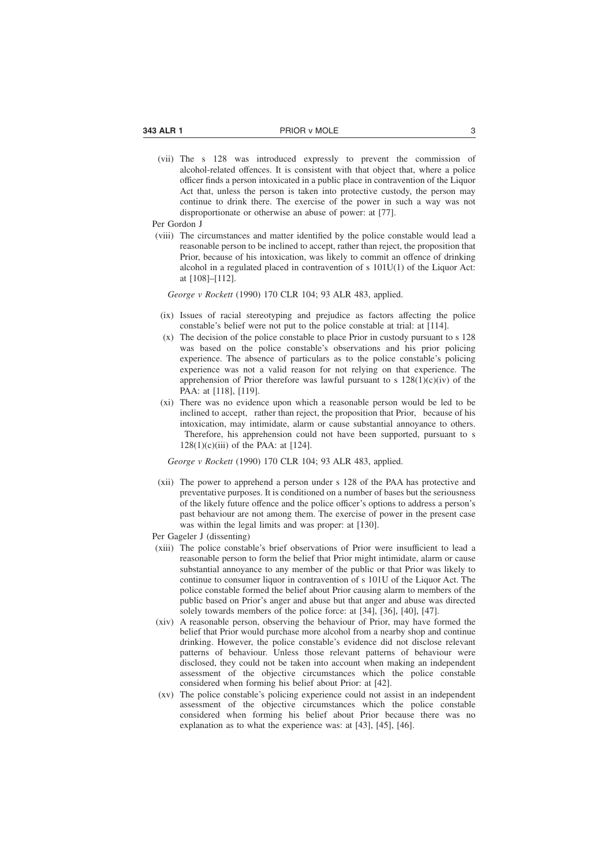(vii) The s 128 was introduced expressly to prevent the commission of alcohol-related offences. It is consistent with that object that, where a police officer finds a person intoxicated in a public place in contravention of the Liquor Act that, unless the person is taken into protective custody, the person may continue to drink there. The exercise of the power in such a way was not disproportionate or otherwise an abuse of power: at [77].

#### Per Gordon J

(viii) The circumstances and matter identified by the police constable would lead a reasonable person to be inclined to accept, rather than reject, the proposition that Prior, because of his intoxication, was likely to commit an offence of drinking alcohol in a regulated placed in contravention of s 101U(1) of the Liquor Act: at [108]–[112].

*George v Rockett* (1990) 170 CLR 104; 93 ALR 483, applied.

- (ix) Issues of racial stereotyping and prejudice as factors affecting the police constable's belief were not put to the police constable at trial: at [114].
- (x) The decision of the police constable to place Prior in custody pursuant to s 128 was based on the police constable's observations and his prior policing experience. The absence of particulars as to the police constable's policing experience was not a valid reason for not relying on that experience. The apprehension of Prior therefore was lawful pursuant to s  $128(1)(c)(iv)$  of the PAA: at [118], [119].
- (xi) There was no evidence upon which a reasonable person would be led to be inclined to accept, rather than reject, the proposition that Prior, because of his intoxication, may intimidate, alarm or cause substantial annoyance to others. Therefore, his apprehension could not have been supported, pursuant to s  $128(1)(c)(iii)$  of the PAA: at [124].

*George v Rockett* (1990) 170 CLR 104; 93 ALR 483, applied.

- (xii) The power to apprehend a person under s 128 of the PAA has protective and preventative purposes. It is conditioned on a number of bases but the seriousness of the likely future offence and the police officer's options to address a person's past behaviour are not among them. The exercise of power in the present case was within the legal limits and was proper: at [130].
- Per Gageler J (dissenting)
- (xiii) The police constable's brief observations of Prior were insufficient to lead a reasonable person to form the belief that Prior might intimidate, alarm or cause substantial annoyance to any member of the public or that Prior was likely to continue to consumer liquor in contravention of s 101U of the Liquor Act. The police constable formed the belief about Prior causing alarm to members of the public based on Prior's anger and abuse but that anger and abuse was directed solely towards members of the police force: at [34], [36], [40], [47].
- (xiv) A reasonable person, observing the behaviour of Prior, may have formed the belief that Prior would purchase more alcohol from a nearby shop and continue drinking. However, the police constable's evidence did not disclose relevant patterns of behaviour. Unless those relevant patterns of behaviour were disclosed, they could not be taken into account when making an independent assessment of the objective circumstances which the police constable considered when forming his belief about Prior: at [42].
- (xv) The police constable's policing experience could not assist in an independent assessment of the objective circumstances which the police constable considered when forming his belief about Prior because there was no explanation as to what the experience was: at [43], [45], [46].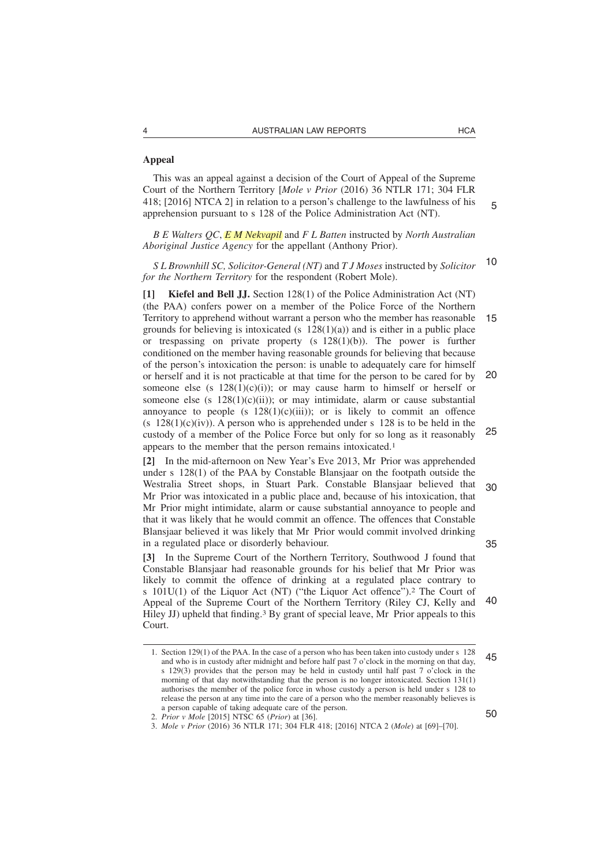#### **Appeal**

This was an appeal against a decision of the Court of Appeal of the Supreme Court of the Northern Territory [*Mole v Prior* (2016) 36 NTLR 171; 304 FLR 418; [2016] NTCA 2] in relation to a person's challenge to the lawfulness of his apprehension pursuant to s 128 of the Police Administration Act (NT).

*B E Walters QC*, *E M Nekvapil* and *F L Batten* instructed by *North Australian Aboriginal Justice Agency* for the appellant (Anthony Prior).

*S L Brownhill SC, Solicitor-General (NT)* and *T J Moses* instructed by *Solicitor for the Northern Territory* for the respondent (Robert Mole). 10

**[1] Kiefel and Bell JJ.** Section 128(1) of the Police Administration Act (NT) (the PAA) confers power on a member of the Police Force of the Northern Territory to apprehend without warrant a person who the member has reasonable grounds for believing is intoxicated (s  $128(1)(a)$ ) and is either in a public place or trespassing on private property (s 128(1)(b)). The power is further conditioned on the member having reasonable grounds for believing that because of the person's intoxication the person: is unable to adequately care for himself or herself and it is not practicable at that time for the person to be cared for by someone else (s  $128(1)(c)(i)$ ); or may cause harm to himself or herself or someone else (s  $128(1)(c)(ii)$ ); or may intimidate, alarm or cause substantial annoyance to people (s  $128(1)(c)(iii)$ ); or is likely to commit an offence  $(s 128(1)(c)(iv))$ . A person who is apprehended under s 128 is to be held in the custody of a member of the Police Force but only for so long as it reasonably appears to the member that the person remains intoxicated.1 15 20 25

**[2]** In the mid-afternoon on New Year's Eve 2013, Mr Prior was apprehended under s 128(1) of the PAA by Constable Blansjaar on the footpath outside the Westralia Street shops, in Stuart Park. Constable Blansjaar believed that Mr Prior was intoxicated in a public place and, because of his intoxication, that Mr Prior might intimidate, alarm or cause substantial annoyance to people and that it was likely that he would commit an offence. The offences that Constable Blansjaar believed it was likely that Mr Prior would commit involved drinking in a regulated place or disorderly behaviour. 30 35

**[3]** In the Supreme Court of the Northern Territory, Southwood J found that Constable Blansjaar had reasonable grounds for his belief that Mr Prior was likely to commit the offence of drinking at a regulated place contrary to s 101U(1) of the Liquor Act (NT) ("the Liquor Act offence").2 The Court of Appeal of the Supreme Court of the Northern Territory (Riley CJ, Kelly and Hiley JJ) upheld that finding.3 By grant of special leave, Mr Prior appeals to this Court. 40

5

45

<sup>1.</sup> Section 129(1) of the PAA. In the case of a person who has been taken into custody under s 128 and who is in custody after midnight and before half past 7 o'clock in the morning on that day, s 129(3) provides that the person may be held in custody until half past 7 o'clock in the morning of that day notwithstanding that the person is no longer intoxicated. Section 131(1) authorises the member of the police force in whose custody a person is held under s 128 to release the person at any time into the care of a person who the member reasonably believes is a person capable of taking adequate care of the person.

<sup>2.</sup> *Prior v Mole* [2015] NTSC 65 (*Prior*) at [36].

<sup>3.</sup> *Mole v Prior* (2016) 36 NTLR 171; 304 FLR 418; [2016] NTCA 2 (*Mole*) at [69]–[70].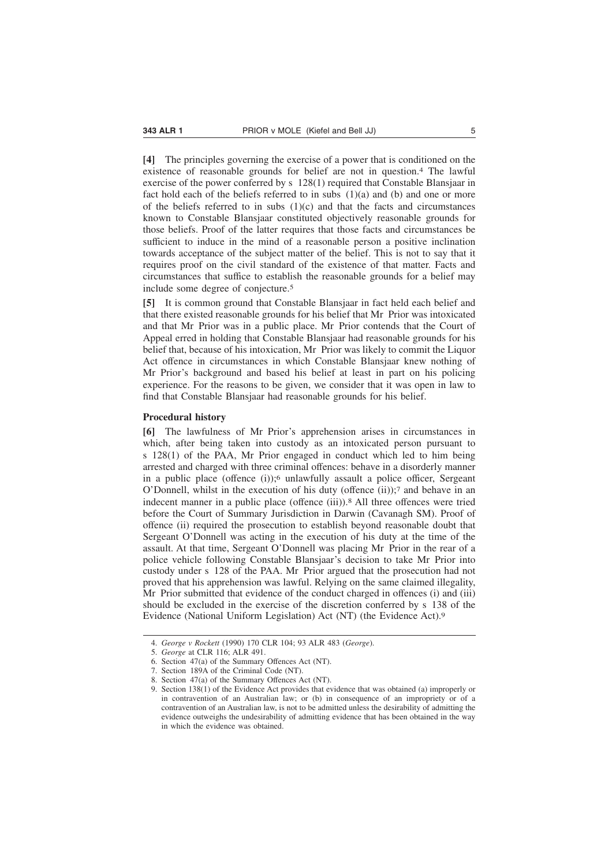**[4]** The principles governing the exercise of a power that is conditioned on the existence of reasonable grounds for belief are not in question.4 The lawful exercise of the power conferred by s 128(1) required that Constable Blansjaar in fact hold each of the beliefs referred to in subs  $(1)(a)$  and  $(b)$  and one or more of the beliefs referred to in subs  $(1)(c)$  and that the facts and circumstances known to Constable Blansjaar constituted objectively reasonable grounds for those beliefs. Proof of the latter requires that those facts and circumstances be sufficient to induce in the mind of a reasonable person a positive inclination towards acceptance of the subject matter of the belief. This is not to say that it requires proof on the civil standard of the existence of that matter. Facts and circumstances that suffice to establish the reasonable grounds for a belief may include some degree of conjecture.5

**[5]** It is common ground that Constable Blansjaar in fact held each belief and that there existed reasonable grounds for his belief that Mr Prior was intoxicated and that Mr Prior was in a public place. Mr Prior contends that the Court of Appeal erred in holding that Constable Blansjaar had reasonable grounds for his belief that, because of his intoxication, Mr Prior was likely to commit the Liquor Act offence in circumstances in which Constable Blansjaar knew nothing of Mr Prior's background and based his belief at least in part on his policing experience. For the reasons to be given, we consider that it was open in law to find that Constable Blansjaar had reasonable grounds for his belief.

#### **Procedural history**

**[6]** The lawfulness of Mr Prior's apprehension arises in circumstances in which, after being taken into custody as an intoxicated person pursuant to s 128(1) of the PAA, Mr Prior engaged in conduct which led to him being arrested and charged with three criminal offences: behave in a disorderly manner in a public place (offence (i));6 unlawfully assault a police officer, Sergeant O'Donnell, whilst in the execution of his duty (offence  $(ii)$ );<sup>7</sup> and behave in an indecent manner in a public place (offence (iii)).8 All three offences were tried before the Court of Summary Jurisdiction in Darwin (Cavanagh SM). Proof of offence (ii) required the prosecution to establish beyond reasonable doubt that Sergeant O'Donnell was acting in the execution of his duty at the time of the assault. At that time, Sergeant O'Donnell was placing Mr Prior in the rear of a police vehicle following Constable Blansjaar's decision to take Mr Prior into custody under s 128 of the PAA. Mr Prior argued that the prosecution had not proved that his apprehension was lawful. Relying on the same claimed illegality, Mr Prior submitted that evidence of the conduct charged in offences (i) and (iii) should be excluded in the exercise of the discretion conferred by s 138 of the Evidence (National Uniform Legislation) Act (NT) (the Evidence Act).9

<sup>4.</sup> *George v Rockett* (1990) 170 CLR 104; 93 ALR 483 (*George*).

<sup>5.</sup> *George* at CLR 116; ALR 491.

<sup>6.</sup> Section 47(a) of the Summary Offences Act (NT).

<sup>7.</sup> Section 189A of the Criminal Code (NT).

<sup>8.</sup> Section 47(a) of the Summary Offences Act (NT).

<sup>9.</sup> Section 138(1) of the Evidence Act provides that evidence that was obtained (a) improperly or in contravention of an Australian law; or (b) in consequence of an impropriety or of a contravention of an Australian law, is not to be admitted unless the desirability of admitting the evidence outweighs the undesirability of admitting evidence that has been obtained in the way in which the evidence was obtained.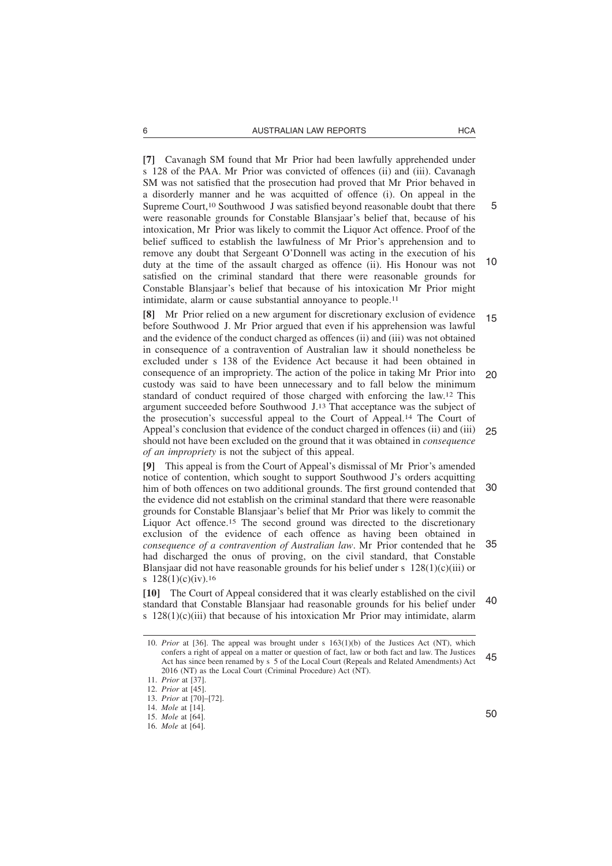**[7]** Cavanagh SM found that Mr Prior had been lawfully apprehended under s 128 of the PAA. Mr Prior was convicted of offences (ii) and (iii). Cavanagh SM was not satisfied that the prosecution had proved that Mr Prior behaved in a disorderly manner and he was acquitted of offence (i). On appeal in the Supreme Court,<sup>10</sup> Southwood J was satisfied beyond reasonable doubt that there were reasonable grounds for Constable Blansjaar's belief that, because of his intoxication, Mr Prior was likely to commit the Liquor Act offence. Proof of the belief sufficed to establish the lawfulness of Mr Prior's apprehension and to remove any doubt that Sergeant O'Donnell was acting in the execution of his duty at the time of the assault charged as offence (ii). His Honour was not satisfied on the criminal standard that there were reasonable grounds for Constable Blansjaar's belief that because of his intoxication Mr Prior might intimidate, alarm or cause substantial annoyance to people.11 10

**[8]** Mr Prior relied on a new argument for discretionary exclusion of evidence before Southwood J. Mr Prior argued that even if his apprehension was lawful and the evidence of the conduct charged as offences (ii) and (iii) was not obtained in consequence of a contravention of Australian law it should nonetheless be excluded under s 138 of the Evidence Act because it had been obtained in consequence of an impropriety. The action of the police in taking Mr Prior into custody was said to have been unnecessary and to fall below the minimum standard of conduct required of those charged with enforcing the law.12 This argument succeeded before Southwood J.13 That acceptance was the subject of the prosecution's successful appeal to the Court of Appeal.14 The Court of Appeal's conclusion that evidence of the conduct charged in offences (ii) and (iii) should not have been excluded on the ground that it was obtained in *consequence of an impropriety* is not the subject of this appeal. 15 20  $25$ 

**[9]** This appeal is from the Court of Appeal's dismissal of Mr Prior's amended notice of contention, which sought to support Southwood J's orders acquitting him of both offences on two additional grounds. The first ground contended that the evidence did not establish on the criminal standard that there were reasonable grounds for Constable Blansjaar's belief that Mr Prior was likely to commit the Liquor Act offence.15 The second ground was directed to the discretionary exclusion of the evidence of each offence as having been obtained in *consequence of a contravention of Australian law*. Mr Prior contended that he had discharged the onus of proving, on the civil standard, that Constable Blansjaar did not have reasonable grounds for his belief under s  $128(1)(c)(iii)$  or s  $128(1)(c)(iv).$ <sup>16</sup> 30 35

**[10]** The Court of Appeal considered that it was clearly established on the civil standard that Constable Blansjaar had reasonable grounds for his belief under s  $128(1)(c)(iii)$  that because of his intoxication Mr Prior may intimidate, alarm 40



<sup>10.</sup> *Prior* at [36]. The appeal was brought under s 163(1)(b) of the Justices Act (NT), which confers a right of appeal on a matter or question of fact, law or both fact and law. The Justices Act has since been renamed by s 5 of the Local Court (Repeals and Related Amendments) Act 2016 (NT) as the Local Court (Criminal Procedure) Act (NT). 45

<sup>11.</sup> *Prior* at [37].

<sup>12.</sup> *Prior* at [45].

<sup>13.</sup> *Prior* at [70]–[72].

<sup>14.</sup> *Mole* at [14].

<sup>15.</sup> *Mole* at [64].

<sup>16.</sup> *Mole* at [64].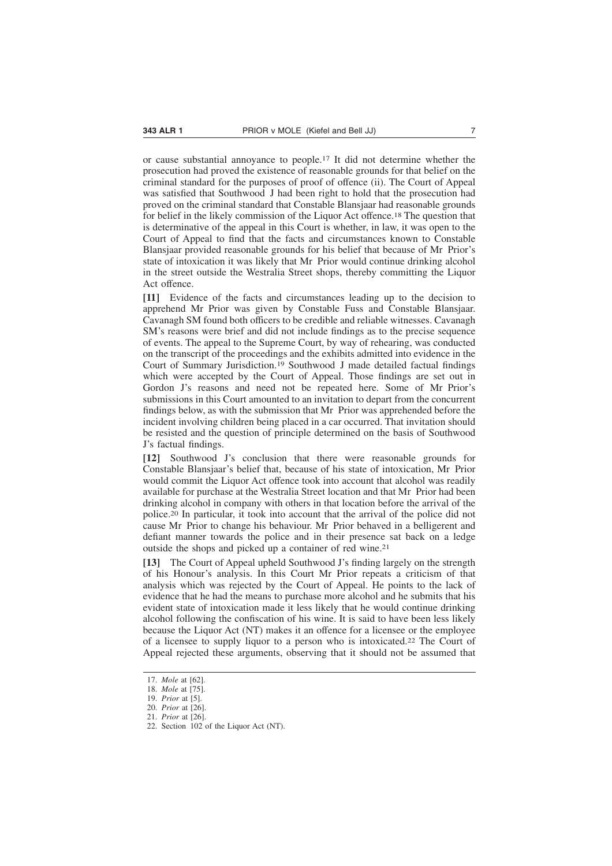or cause substantial annoyance to people.17 It did not determine whether the prosecution had proved the existence of reasonable grounds for that belief on the criminal standard for the purposes of proof of offence (ii). The Court of Appeal was satisfied that Southwood J had been right to hold that the prosecution had proved on the criminal standard that Constable Blansjaar had reasonable grounds for belief in the likely commission of the Liquor Act offence.18 The question that is determinative of the appeal in this Court is whether, in law, it was open to the Court of Appeal to find that the facts and circumstances known to Constable Blansjaar provided reasonable grounds for his belief that because of Mr Prior's state of intoxication it was likely that Mr Prior would continue drinking alcohol in the street outside the Westralia Street shops, thereby committing the Liquor Act offence.

**[11]** Evidence of the facts and circumstances leading up to the decision to apprehend Mr Prior was given by Constable Fuss and Constable Blansjaar. Cavanagh SM found both officers to be credible and reliable witnesses. Cavanagh SM's reasons were brief and did not include findings as to the precise sequence of events. The appeal to the Supreme Court, by way of rehearing, was conducted on the transcript of the proceedings and the exhibits admitted into evidence in the Court of Summary Jurisdiction.19 Southwood J made detailed factual findings which were accepted by the Court of Appeal. Those findings are set out in Gordon J's reasons and need not be repeated here. Some of Mr Prior's submissions in this Court amounted to an invitation to depart from the concurrent findings below, as with the submission that Mr Prior was apprehended before the incident involving children being placed in a car occurred. That invitation should be resisted and the question of principle determined on the basis of Southwood J's factual findings.

**[12]** Southwood J's conclusion that there were reasonable grounds for Constable Blansjaar's belief that, because of his state of intoxication, Mr Prior would commit the Liquor Act offence took into account that alcohol was readily available for purchase at the Westralia Street location and that Mr Prior had been drinking alcohol in company with others in that location before the arrival of the police.20 In particular, it took into account that the arrival of the police did not cause Mr Prior to change his behaviour. Mr Prior behaved in a belligerent and defiant manner towards the police and in their presence sat back on a ledge outside the shops and picked up a container of red wine.21

**[13]** The Court of Appeal upheld Southwood J's finding largely on the strength of his Honour's analysis. In this Court Mr Prior repeats a criticism of that analysis which was rejected by the Court of Appeal. He points to the lack of evidence that he had the means to purchase more alcohol and he submits that his evident state of intoxication made it less likely that he would continue drinking alcohol following the confiscation of his wine. It is said to have been less likely because the Liquor Act (NT) makes it an offence for a licensee or the employee of a licensee to supply liquor to a person who is intoxicated.22 The Court of Appeal rejected these arguments, observing that it should not be assumed that

<sup>17.</sup> *Mole* at [62].

<sup>18.</sup> *Mole* at [75].

<sup>19.</sup> *Prior* at [5].

<sup>20.</sup> *Prior* at [26].

<sup>21.</sup> *Prior* at [26].

<sup>22.</sup> Section 102 of the Liquor Act (NT).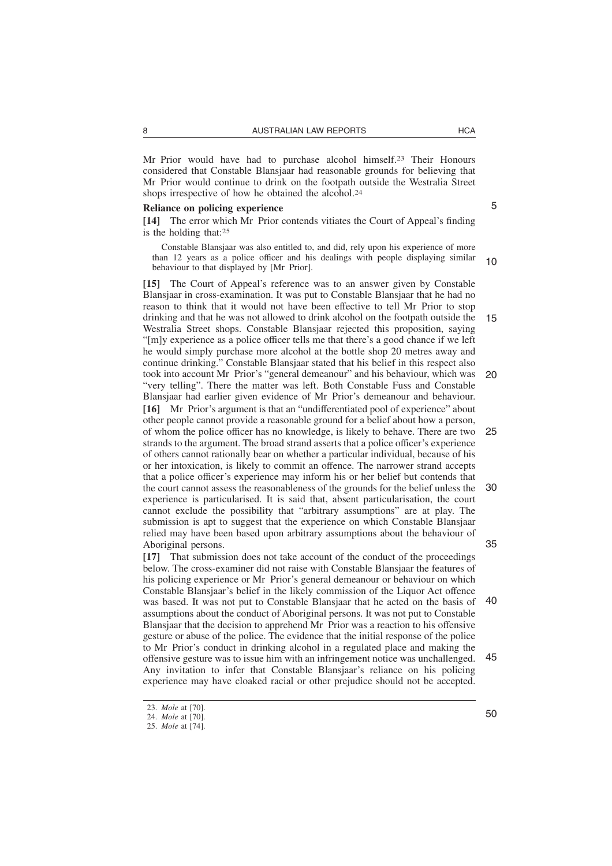Mr Prior would have had to purchase alcohol himself.23 Their Honours considered that Constable Blansjaar had reasonable grounds for believing that Mr Prior would continue to drink on the footpath outside the Westralia Street shops irrespective of how he obtained the alcohol.24

# **Reliance on policing experience**

**[14]** The error which Mr Prior contends vitiates the Court of Appeal's finding is the holding that:25

Constable Blansjaar was also entitled to, and did, rely upon his experience of more than 12 years as a police officer and his dealings with people displaying similar behaviour to that displayed by [Mr Prior]. 10

**[15]** The Court of Appeal's reference was to an answer given by Constable Blansjaar in cross-examination. It was put to Constable Blansjaar that he had no reason to think that it would not have been effective to tell Mr Prior to stop drinking and that he was not allowed to drink alcohol on the footpath outside the Westralia Street shops. Constable Blansjaar rejected this proposition, saying "[m]y experience as a police officer tells me that there's a good chance if we left he would simply purchase more alcohol at the bottle shop 20 metres away and continue drinking." Constable Blansjaar stated that his belief in this respect also took into account Mr Prior's "general demeanour" and his behaviour, which was "very telling". There the matter was left. Both Constable Fuss and Constable Blansjaar had earlier given evidence of Mr Prior's demeanour and behaviour. **[16]** Mr Prior's argument is that an "undifferentiated pool of experience" about other people cannot provide a reasonable ground for a belief about how a person, of whom the police officer has no knowledge, is likely to behave. There are two strands to the argument. The broad strand asserts that a police officer's experience of others cannot rationally bear on whether a particular individual, because of his or her intoxication, is likely to commit an offence. The narrower strand accepts that a police officer's experience may inform his or her belief but contends that the court cannot assess the reasonableness of the grounds for the belief unless the experience is particularised. It is said that, absent particularisation, the court cannot exclude the possibility that "arbitrary assumptions" are at play. The submission is apt to suggest that the experience on which Constable Blansjaar relied may have been based upon arbitrary assumptions about the behaviour of Aboriginal persons. 15 20 25 30 35

**[17]** That submission does not take account of the conduct of the proceedings below. The cross-examiner did not raise with Constable Blansjaar the features of his policing experience or Mr Prior's general demeanour or behaviour on which Constable Blansjaar's belief in the likely commission of the Liquor Act offence was based. It was not put to Constable Blansjaar that he acted on the basis of assumptions about the conduct of Aboriginal persons. It was not put to Constable Blansjaar that the decision to apprehend Mr Prior was a reaction to his offensive gesture or abuse of the police. The evidence that the initial response of the police to Mr Prior's conduct in drinking alcohol in a regulated place and making the offensive gesture was to issue him with an infringement notice was unchallenged. Any invitation to infer that Constable Blansjaar's reliance on his policing experience may have cloaked racial or other prejudice should not be accepted. 40 45

5

<sup>23.</sup> *Mole* at [70].

<sup>24.</sup> *Mole* at [70].

<sup>25.</sup> *Mole* at [74].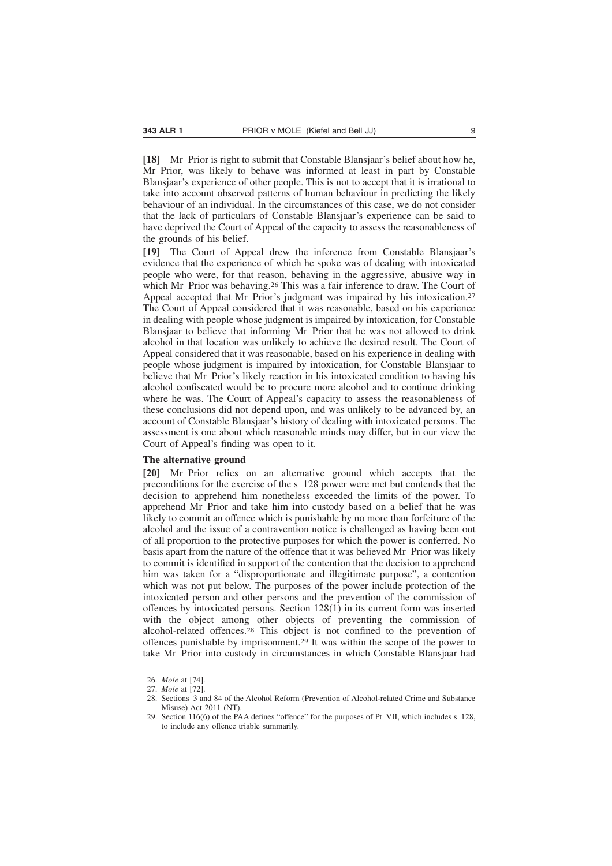**[18]** Mr Prior is right to submit that Constable Blansjaar's belief about how he, Mr Prior, was likely to behave was informed at least in part by Constable Blansjaar's experience of other people. This is not to accept that it is irrational to take into account observed patterns of human behaviour in predicting the likely behaviour of an individual. In the circumstances of this case, we do not consider that the lack of particulars of Constable Blansjaar's experience can be said to have deprived the Court of Appeal of the capacity to assess the reasonableness of the grounds of his belief.

**[19]** The Court of Appeal drew the inference from Constable Blansjaar's evidence that the experience of which he spoke was of dealing with intoxicated people who were, for that reason, behaving in the aggressive, abusive way in which Mr Prior was behaving.<sup>26</sup> This was a fair inference to draw. The Court of Appeal accepted that Mr Prior's judgment was impaired by his intoxication.27 The Court of Appeal considered that it was reasonable, based on his experience in dealing with people whose judgment is impaired by intoxication, for Constable Blansjaar to believe that informing Mr Prior that he was not allowed to drink alcohol in that location was unlikely to achieve the desired result. The Court of Appeal considered that it was reasonable, based on his experience in dealing with people whose judgment is impaired by intoxication, for Constable Blansjaar to believe that Mr Prior's likely reaction in his intoxicated condition to having his alcohol confiscated would be to procure more alcohol and to continue drinking where he was. The Court of Appeal's capacity to assess the reasonableness of these conclusions did not depend upon, and was unlikely to be advanced by, an account of Constable Blansjaar's history of dealing with intoxicated persons. The assessment is one about which reasonable minds may differ, but in our view the Court of Appeal's finding was open to it.

#### **The alternative ground**

**[20]** Mr Prior relies on an alternative ground which accepts that the preconditions for the exercise of the s 128 power were met but contends that the decision to apprehend him nonetheless exceeded the limits of the power. To apprehend Mr Prior and take him into custody based on a belief that he was likely to commit an offence which is punishable by no more than forfeiture of the alcohol and the issue of a contravention notice is challenged as having been out of all proportion to the protective purposes for which the power is conferred. No basis apart from the nature of the offence that it was believed Mr Prior was likely to commit is identified in support of the contention that the decision to apprehend him was taken for a "disproportionate and illegitimate purpose", a contention which was not put below. The purposes of the power include protection of the intoxicated person and other persons and the prevention of the commission of offences by intoxicated persons. Section 128(1) in its current form was inserted with the object among other objects of preventing the commission of alcohol-related offences.28 This object is not confined to the prevention of offences punishable by imprisonment.29 It was within the scope of the power to take Mr Prior into custody in circumstances in which Constable Blansjaar had

<sup>26.</sup> *Mole* at [74].

<sup>27.</sup> *Mole* at [72].

<sup>28.</sup> Sections 3 and 84 of the Alcohol Reform (Prevention of Alcohol-related Crime and Substance Misuse) Act 2011 (NT).

<sup>29.</sup> Section 116(6) of the PAA defines "offence" for the purposes of Pt VII, which includes s 128, to include any offence triable summarily.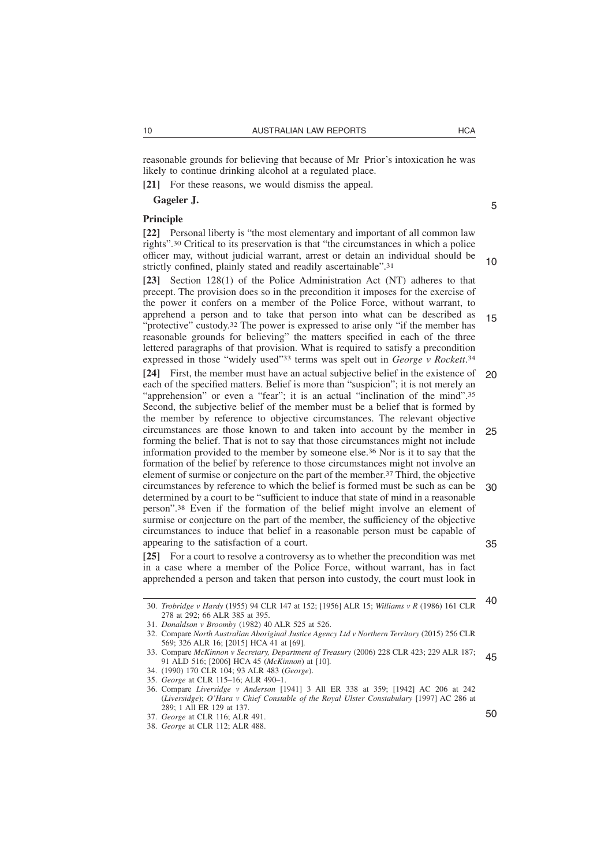reasonable grounds for believing that because of Mr Prior's intoxication he was likely to continue drinking alcohol at a regulated place.

**[21]** For these reasons, we would dismiss the appeal.

**Gageler J.**

## **Principle**

**[22]** Personal liberty is "the most elementary and important of all common law rights".30 Critical to its preservation is that "the circumstances in which a police officer may, without judicial warrant, arrest or detain an individual should be strictly confined, plainly stated and readily ascertainable".31

**[23]** Section 128(1) of the Police Administration Act (NT) adheres to that precept. The provision does so in the precondition it imposes for the exercise of the power it confers on a member of the Police Force, without warrant, to apprehend a person and to take that person into what can be described as "protective" custody.32 The power is expressed to arise only "if the member has reasonable grounds for believing" the matters specified in each of the three lettered paragraphs of that provision. What is required to satisfy a precondition expressed in those "widely used"33 terms was spelt out in *George v Rockett*. 34 15

**[24]** First, the member must have an actual subjective belief in the existence of each of the specified matters. Belief is more than "suspicion"; it is not merely an "apprehension" or even a "fear"; it is an actual "inclination of the mind".<sup>35</sup> Second, the subjective belief of the member must be a belief that is formed by the member by reference to objective circumstances. The relevant objective circumstances are those known to and taken into account by the member in forming the belief. That is not to say that those circumstances might not include information provided to the member by someone else.36 Nor is it to say that the formation of the belief by reference to those circumstances might not involve an element of surmise or conjecture on the part of the member.37 Third, the objective circumstances by reference to which the belief is formed must be such as can be determined by a court to be "sufficient to induce that state of mind in a reasonable person".38 Even if the formation of the belief might involve an element of surmise or conjecture on the part of the member, the sufficiency of the objective circumstances to induce that belief in a reasonable person must be capable of appearing to the satisfaction of a court. 20 25 30 35

**[25]** For a court to resolve a controversy as to whether the precondition was met in a case where a member of the Police Force, without warrant, has in fact apprehended a person and taken that person into custody, the court must look in 10

<sup>30.</sup> *Trobridge v Hardy* (1955) 94 CLR 147 at 152; [1956] ALR 15; *Williams v R* (1986) 161 CLR 278 at 292; 66 ALR 385 at 395. 40

<sup>31.</sup> *Donaldson v Broomby* (1982) 40 ALR 525 at 526.

<sup>32.</sup> Compare *North Australian Aboriginal Justice Agency Ltd v Northern Territory* (2015) 256 CLR 569; 326 ALR 16; [2015] HCA 41 at [69].

<sup>33.</sup> Compare *McKinnon v Secretary, Department of Treasury* (2006) 228 CLR 423; 229 ALR 187; 91 ALD 516; [2006] HCA 45 (*McKinnon*) at [10]. 45

<sup>34. (1990) 170</sup> CLR 104; 93 ALR 483 (*George*).

<sup>35.</sup> *George* at CLR 115–16; ALR 490–1.

<sup>36.</sup> Compare *Liversidge v Anderson* [1941] 3 All ER 338 at 359; [1942] AC 206 at 242 (*Liversidge*); *O'Hara v Chief Constable of the Royal Ulster Constabulary* [1997] AC 286 at 289; 1 All ER 129 at 137.

<sup>37.</sup> *George* at CLR 116; ALR 491.

<sup>38.</sup> *George* at CLR 112; ALR 488.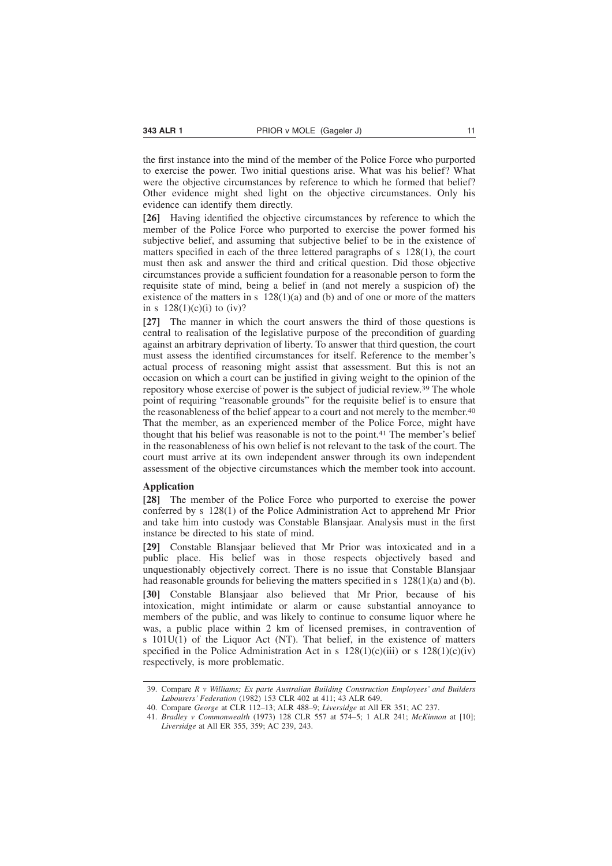the first instance into the mind of the member of the Police Force who purported to exercise the power. Two initial questions arise. What was his belief? What were the objective circumstances by reference to which he formed that belief? Other evidence might shed light on the objective circumstances. Only his evidence can identify them directly.

**[26]** Having identified the objective circumstances by reference to which the member of the Police Force who purported to exercise the power formed his subjective belief, and assuming that subjective belief to be in the existence of matters specified in each of the three lettered paragraphs of s 128(1), the court must then ask and answer the third and critical question. Did those objective circumstances provide a sufficient foundation for a reasonable person to form the requisite state of mind, being a belief in (and not merely a suspicion of) the existence of the matters in s  $128(1)(a)$  and (b) and of one or more of the matters in s  $128(1)(c)(i)$  to  $(iv)$ ?

**[27]** The manner in which the court answers the third of those questions is central to realisation of the legislative purpose of the precondition of guarding against an arbitrary deprivation of liberty. To answer that third question, the court must assess the identified circumstances for itself. Reference to the member's actual process of reasoning might assist that assessment. But this is not an occasion on which a court can be justified in giving weight to the opinion of the repository whose exercise of power is the subject of judicial review.39 The whole point of requiring "reasonable grounds" for the requisite belief is to ensure that the reasonableness of the belief appear to a court and not merely to the member.40 That the member, as an experienced member of the Police Force, might have thought that his belief was reasonable is not to the point.41 The member's belief in the reasonableness of his own belief is not relevant to the task of the court. The court must arrive at its own independent answer through its own independent assessment of the objective circumstances which the member took into account.

## **Application**

**[28]** The member of the Police Force who purported to exercise the power conferred by s 128(1) of the Police Administration Act to apprehend Mr Prior and take him into custody was Constable Blansjaar. Analysis must in the first instance be directed to his state of mind.

**[29]** Constable Blansjaar believed that Mr Prior was intoxicated and in a public place. His belief was in those respects objectively based and unquestionably objectively correct. There is no issue that Constable Blansjaar had reasonable grounds for believing the matters specified in s  $128(1)(a)$  and (b).

**[30]** Constable Blansjaar also believed that Mr Prior, because of his intoxication, might intimidate or alarm or cause substantial annoyance to members of the public, and was likely to continue to consume liquor where he was, a public place within 2 km of licensed premises, in contravention of s 101U(1) of the Liquor Act (NT). That belief, in the existence of matters specified in the Police Administration Act in s  $128(1)(c)(iii)$  or s  $128(1)(c)(iv)$ respectively, is more problematic.

<sup>39.</sup> Compare *R v Williams; Ex parte Australian Building Construction Employees' and Builders Labourers' Federation* (1982) 153 CLR 402 at 411; 43 ALR 649.

<sup>40.</sup> Compare *George* at CLR 112–13; ALR 488–9; *Liversidge* at All ER 351; AC 237.

<sup>41.</sup> *Bradley v Commonwealth* (1973) 128 CLR 557 at 574–5; 1 ALR 241; *McKinnon* at [10]; *Liversidge* at All ER 355, 359; AC 239, 243.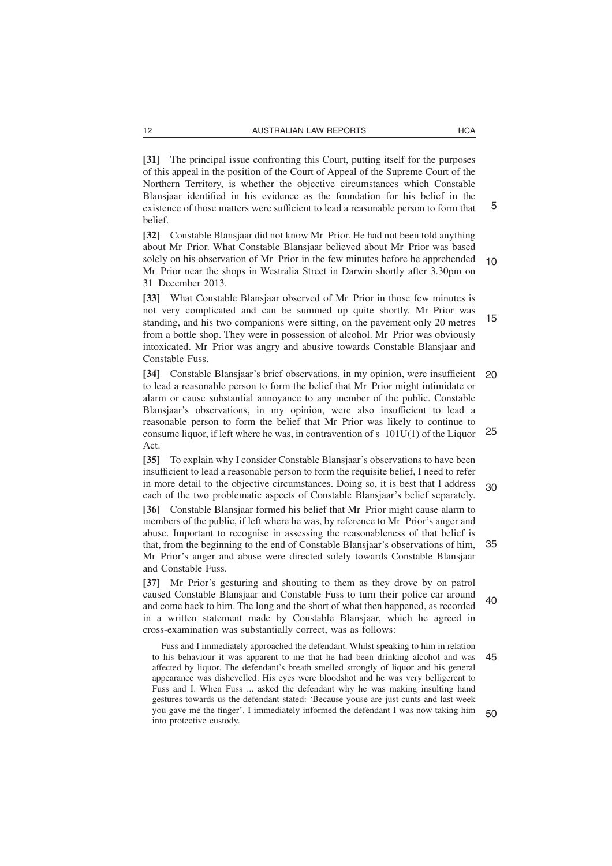**[31]** The principal issue confronting this Court, putting itself for the purposes of this appeal in the position of the Court of Appeal of the Supreme Court of the Northern Territory, is whether the objective circumstances which Constable Blansjaar identified in his evidence as the foundation for his belief in the existence of those matters were sufficient to lead a reasonable person to form that belief.

**[32]** Constable Blansjaar did not know Mr Prior. He had not been told anything about Mr Prior. What Constable Blansjaar believed about Mr Prior was based solely on his observation of Mr Prior in the few minutes before he apprehended Mr Prior near the shops in Westralia Street in Darwin shortly after 3.30pm on 31 December 2013. 10

**[33]** What Constable Blansjaar observed of Mr Prior in those few minutes is not very complicated and can be summed up quite shortly. Mr Prior was standing, and his two companions were sitting, on the pavement only 20 metres from a bottle shop. They were in possession of alcohol. Mr Prior was obviously intoxicated. Mr Prior was angry and abusive towards Constable Blansjaar and Constable Fuss. 15

**[34]** Constable Blansjaar's brief observations, in my opinion, were insufficient to lead a reasonable person to form the belief that Mr Prior might intimidate or alarm or cause substantial annoyance to any member of the public. Constable Blansjaar's observations, in my opinion, were also insufficient to lead a reasonable person to form the belief that Mr Prior was likely to continue to consume liquor, if left where he was, in contravention of s 101U(1) of the Liquor Act. 20 25

**[35]** To explain why I consider Constable Blansjaar's observations to have been insufficient to lead a reasonable person to form the requisite belief, I need to refer in more detail to the objective circumstances. Doing so, it is best that I address each of the two problematic aspects of Constable Blansjaar's belief separately.

**[36]** Constable Blansjaar formed his belief that Mr Prior might cause alarm to members of the public, if left where he was, by reference to Mr Prior's anger and abuse. Important to recognise in assessing the reasonableness of that belief is that, from the beginning to the end of Constable Blansjaar's observations of him, Mr Prior's anger and abuse were directed solely towards Constable Blansjaar and Constable Fuss. 35

**[37]** Mr Prior's gesturing and shouting to them as they drove by on patrol caused Constable Blansjaar and Constable Fuss to turn their police car around and come back to him. The long and the short of what then happened, as recorded in a written statement made by Constable Blansjaar, which he agreed in cross-examination was substantially correct, was as follows: 40

Fuss and I immediately approached the defendant. Whilst speaking to him in relation to his behaviour it was apparent to me that he had been drinking alcohol and was affected by liquor. The defendant's breath smelled strongly of liquor and his general appearance was dishevelled. His eyes were bloodshot and he was very belligerent to Fuss and I. When Fuss ... asked the defendant why he was making insulting hand gestures towards us the defendant stated: 'Because youse are just cunts and last week you gave me the finger'. I immediately informed the defendant I was now taking him into protective custody. 45  $50$ 

5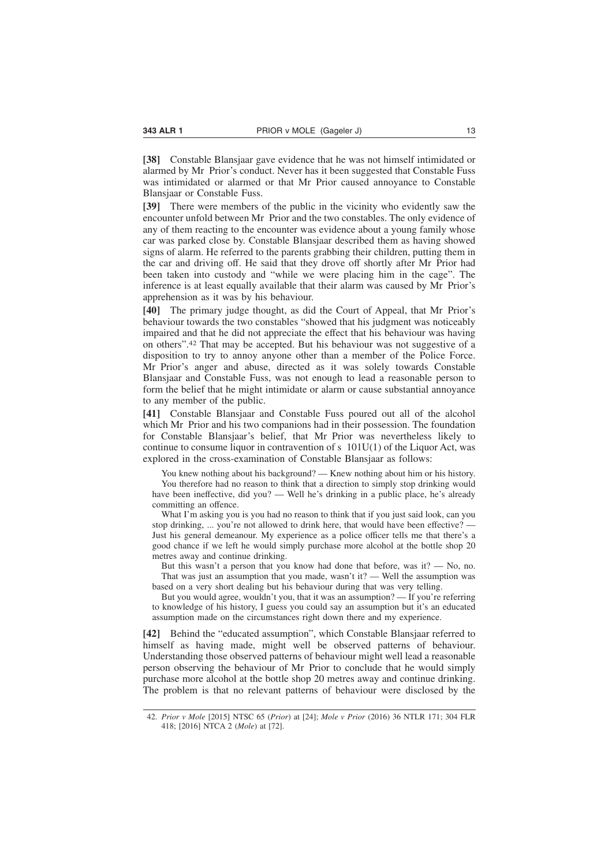**[38]** Constable Blansjaar gave evidence that he was not himself intimidated or alarmed by Mr Prior's conduct. Never has it been suggested that Constable Fuss was intimidated or alarmed or that Mr Prior caused annoyance to Constable Blansjaar or Constable Fuss.

**[39]** There were members of the public in the vicinity who evidently saw the encounter unfold between Mr Prior and the two constables. The only evidence of any of them reacting to the encounter was evidence about a young family whose car was parked close by. Constable Blansjaar described them as having showed signs of alarm. He referred to the parents grabbing their children, putting them in the car and driving off. He said that they drove off shortly after Mr Prior had been taken into custody and "while we were placing him in the cage". The inference is at least equally available that their alarm was caused by Mr Prior's apprehension as it was by his behaviour.

**[40]** The primary judge thought, as did the Court of Appeal, that Mr Prior's behaviour towards the two constables "showed that his judgment was noticeably impaired and that he did not appreciate the effect that his behaviour was having on others".42 That may be accepted. But his behaviour was not suggestive of a disposition to try to annoy anyone other than a member of the Police Force. Mr Prior's anger and abuse, directed as it was solely towards Constable Blansjaar and Constable Fuss, was not enough to lead a reasonable person to form the belief that he might intimidate or alarm or cause substantial annoyance to any member of the public.

**[41]** Constable Blansjaar and Constable Fuss poured out all of the alcohol which Mr Prior and his two companions had in their possession. The foundation for Constable Blansjaar's belief, that Mr Prior was nevertheless likely to continue to consume liquor in contravention of s 101U(1) of the Liquor Act, was explored in the cross-examination of Constable Blansiaar as follows:

You knew nothing about his background? — Knew nothing about him or his history. You therefore had no reason to think that a direction to simply stop drinking would have been ineffective, did you? — Well he's drinking in a public place, he's already committing an offence.

What I'm asking you is you had no reason to think that if you just said look, can you stop drinking, ... you're not allowed to drink here, that would have been effective? Just his general demeanour. My experience as a police officer tells me that there's a good chance if we left he would simply purchase more alcohol at the bottle shop 20 metres away and continue drinking.

But this wasn't a person that you know had done that before, was it? — No, no. That was just an assumption that you made, wasn't it? — Well the assumption was based on a very short dealing but his behaviour during that was very telling.

But you would agree, wouldn't you, that it was an assumption? — If you're referring to knowledge of his history, I guess you could say an assumption but it's an educated assumption made on the circumstances right down there and my experience.

**[42]** Behind the "educated assumption", which Constable Blansjaar referred to himself as having made, might well be observed patterns of behaviour. Understanding those observed patterns of behaviour might well lead a reasonable person observing the behaviour of Mr Prior to conclude that he would simply purchase more alcohol at the bottle shop 20 metres away and continue drinking. The problem is that no relevant patterns of behaviour were disclosed by the

<sup>42.</sup> *Prior v Mole* [2015] NTSC 65 (*Prior*) at [24]; *Mole v Prior* (2016) 36 NTLR 171; 304 FLR 418; [2016] NTCA 2 (*Mole*) at [72].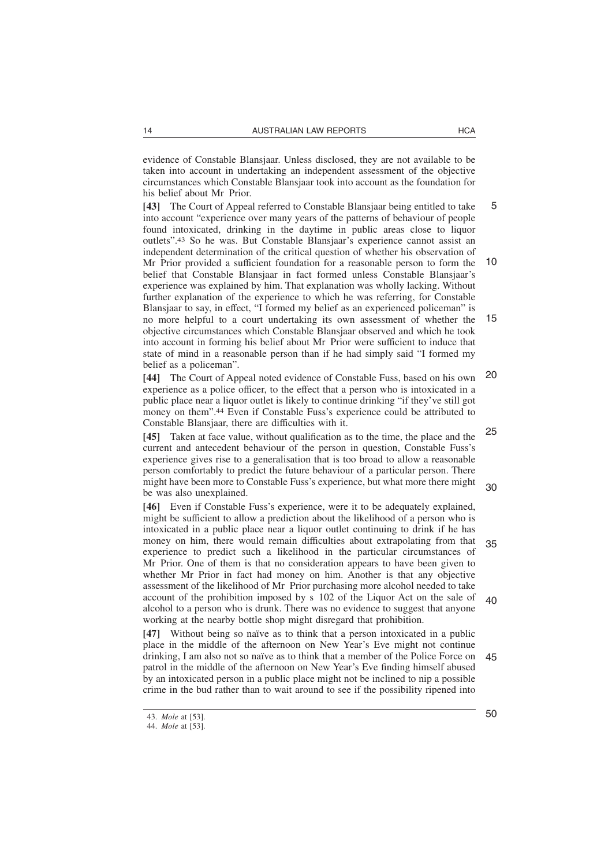evidence of Constable Blansjaar. Unless disclosed, they are not available to be taken into account in undertaking an independent assessment of the objective circumstances which Constable Blansjaar took into account as the foundation for his belief about Mr Prior.

**[43]** The Court of Appeal referred to Constable Blansjaar being entitled to take into account "experience over many years of the patterns of behaviour of people found intoxicated, drinking in the daytime in public areas close to liquor outlets".43 So he was. But Constable Blansjaar's experience cannot assist an independent determination of the critical question of whether his observation of Mr Prior provided a sufficient foundation for a reasonable person to form the belief that Constable Blansjaar in fact formed unless Constable Blansjaar's experience was explained by him. That explanation was wholly lacking. Without further explanation of the experience to which he was referring, for Constable Blansjaar to say, in effect, "I formed my belief as an experienced policeman" is no more helpful to a court undertaking its own assessment of whether the objective circumstances which Constable Blansjaar observed and which he took into account in forming his belief about Mr Prior were sufficient to induce that state of mind in a reasonable person than if he had simply said "I formed my belief as a policeman". 5 10 15

**[44]** The Court of Appeal noted evidence of Constable Fuss, based on his own experience as a police officer, to the effect that a person who is intoxicated in a public place near a liquor outlet is likely to continue drinking "if they've still got money on them".44 Even if Constable Fuss's experience could be attributed to Constable Blansjaar, there are difficulties with it. 20 25

**[45]** Taken at face value, without qualification as to the time, the place and the current and antecedent behaviour of the person in question, Constable Fuss's experience gives rise to a generalisation that is too broad to allow a reasonable person comfortably to predict the future behaviour of a particular person. There might have been more to Constable Fuss's experience, but what more there might be was also unexplained. 30

**[46]** Even if Constable Fuss's experience, were it to be adequately explained, might be sufficient to allow a prediction about the likelihood of a person who is intoxicated in a public place near a liquor outlet continuing to drink if he has money on him, there would remain difficulties about extrapolating from that experience to predict such a likelihood in the particular circumstances of Mr Prior. One of them is that no consideration appears to have been given to whether Mr Prior in fact had money on him. Another is that any objective assessment of the likelihood of Mr Prior purchasing more alcohol needed to take account of the prohibition imposed by s 102 of the Liquor Act on the sale of alcohol to a person who is drunk. There was no evidence to suggest that anyone working at the nearby bottle shop might disregard that prohibition. 35 40

**[47]** Without being so naïve as to think that a person intoxicated in a public place in the middle of the afternoon on New Year's Eve might not continue drinking, I am also not so naïve as to think that a member of the Police Force on patrol in the middle of the afternoon on New Year's Eve finding himself abused by an intoxicated person in a public place might not be inclined to nip a possible crime in the bud rather than to wait around to see if the possibility ripened into 45

<sup>43.</sup> *Mole* at [53].

<sup>44.</sup> *Mole* at [53].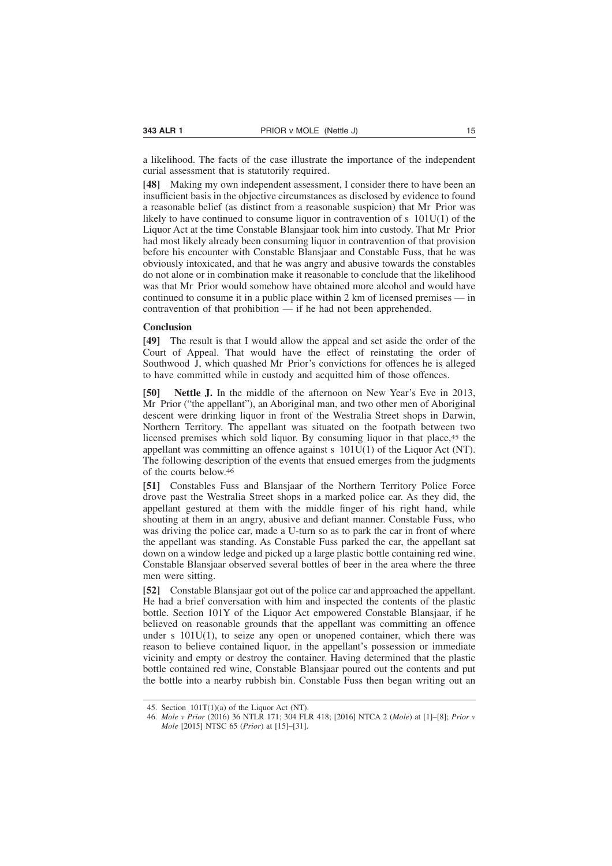a likelihood. The facts of the case illustrate the importance of the independent curial assessment that is statutorily required.

**[48]** Making my own independent assessment, I consider there to have been an insufficient basis in the objective circumstances as disclosed by evidence to found a reasonable belief (as distinct from a reasonable suspicion) that Mr Prior was likely to have continued to consume liquor in contravention of s 101U(1) of the Liquor Act at the time Constable Blansjaar took him into custody. That Mr Prior had most likely already been consuming liquor in contravention of that provision before his encounter with Constable Blansjaar and Constable Fuss, that he was obviously intoxicated, and that he was angry and abusive towards the constables do not alone or in combination make it reasonable to conclude that the likelihood was that Mr Prior would somehow have obtained more alcohol and would have continued to consume it in a public place within 2 km of licensed premises — in contravention of that prohibition — if he had not been apprehended.

#### **Conclusion**

**[49]** The result is that I would allow the appeal and set aside the order of the Court of Appeal. That would have the effect of reinstating the order of Southwood J, which quashed Mr Prior's convictions for offences he is alleged to have committed while in custody and acquitted him of those offences.

**[50] Nettle J.** In the middle of the afternoon on New Year's Eve in 2013, Mr Prior ("the appellant"), an Aboriginal man, and two other men of Aboriginal descent were drinking liquor in front of the Westralia Street shops in Darwin, Northern Territory. The appellant was situated on the footpath between two licensed premises which sold liquor. By consuming liquor in that place,45 the appellant was committing an offence against s 101U(1) of the Liquor Act (NT). The following description of the events that ensued emerges from the judgments of the courts below.46

**[51]** Constables Fuss and Blansjaar of the Northern Territory Police Force drove past the Westralia Street shops in a marked police car. As they did, the appellant gestured at them with the middle finger of his right hand, while shouting at them in an angry, abusive and defiant manner. Constable Fuss, who was driving the police car, made a U-turn so as to park the car in front of where the appellant was standing. As Constable Fuss parked the car, the appellant sat down on a window ledge and picked up a large plastic bottle containing red wine. Constable Blansjaar observed several bottles of beer in the area where the three men were sitting.

**[52]** Constable Blansjaar got out of the police car and approached the appellant. He had a brief conversation with him and inspected the contents of the plastic bottle. Section 101Y of the Liquor Act empowered Constable Blansjaar, if he believed on reasonable grounds that the appellant was committing an offence under s 101U(1), to seize any open or unopened container, which there was reason to believe contained liquor, in the appellant's possession or immediate vicinity and empty or destroy the container. Having determined that the plastic bottle contained red wine, Constable Blansjaar poured out the contents and put the bottle into a nearby rubbish bin. Constable Fuss then began writing out an

<sup>45.</sup> Section 101T(1)(a) of the Liquor Act (NT).

<sup>46.</sup> *Mole v Prior* (2016) 36 NTLR 171; 304 FLR 418; [2016] NTCA 2 (*Mole*) at [1]–[8]; *Prior v Mole* [2015] NTSC 65 (*Prior*) at [15]–[31].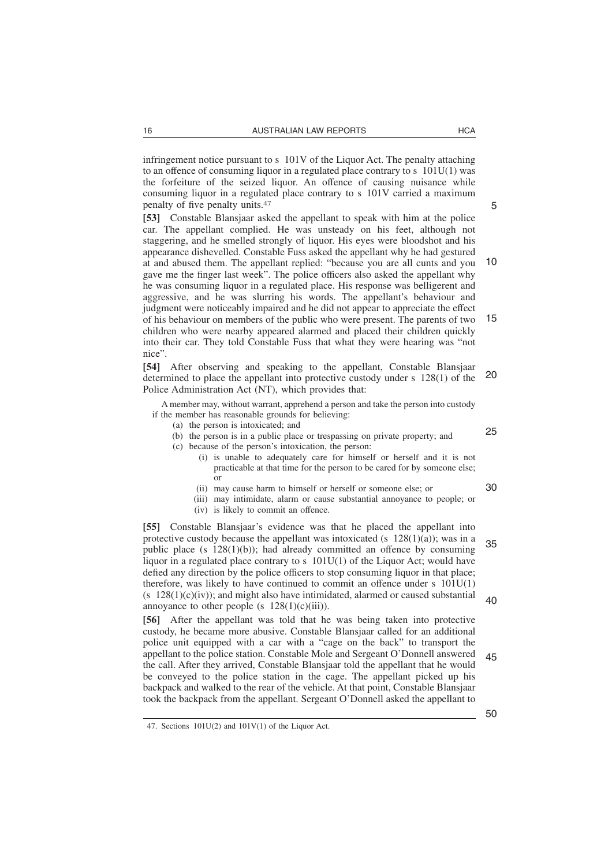infringement notice pursuant to s 101V of the Liquor Act. The penalty attaching to an offence of consuming liquor in a regulated place contrary to s 101U(1) was the forfeiture of the seized liquor. An offence of causing nuisance while consuming liquor in a regulated place contrary to s 101V carried a maximum penalty of five penalty units.47

**[53]** Constable Blansjaar asked the appellant to speak with him at the police car. The appellant complied. He was unsteady on his feet, although not staggering, and he smelled strongly of liquor. His eyes were bloodshot and his appearance dishevelled. Constable Fuss asked the appellant why he had gestured at and abused them. The appellant replied: "because you are all cunts and you gave me the finger last week". The police officers also asked the appellant why he was consuming liquor in a regulated place. His response was belligerent and aggressive, and he was slurring his words. The appellant's behaviour and judgment were noticeably impaired and he did not appear to appreciate the effect of his behaviour on members of the public who were present. The parents of two children who were nearby appeared alarmed and placed their children quickly into their car. They told Constable Fuss that what they were hearing was "not nice". 10 15

**[54]** After observing and speaking to the appellant, Constable Blansjaar determined to place the appellant into protective custody under s 128(1) of the Police Administration Act (NT), which provides that: 20

A member may, without warrant, apprehend a person and take the person into custody if the member has reasonable grounds for believing:

(a) the person is intoxicated; and

- (b) the person is in a public place or trespassing on private property; and
- (c) because of the person's intoxication, the person:
	- (i) is unable to adequately care for himself or herself and it is not practicable at that time for the person to be cared for by someone else; or
	- (ii) may cause harm to himself or herself or someone else; or
	- (iii) may intimidate, alarm or cause substantial annoyance to people; or
	- (iv) is likely to commit an offence.

**[55]** Constable Blansjaar's evidence was that he placed the appellant into protective custody because the appellant was intoxicated (s  $128(1)(a)$ ); was in a public place (s  $128(1)(b)$ ); had already committed an offence by consuming liquor in a regulated place contrary to s 101U(1) of the Liquor Act; would have defied any direction by the police officers to stop consuming liquor in that place; therefore, was likely to have continued to commit an offence under s 101U(1)  $(s\ 128(1)(c)(iv))$ ; and might also have intimidated, alarmed or caused substantial annoyance to other people (s  $128(1)(c)(iii)$ ). 35 40

**[56]** After the appellant was told that he was being taken into protective custody, he became more abusive. Constable Blansjaar called for an additional police unit equipped with a car with a "cage on the back" to transport the appellant to the police station. Constable Mole and Sergeant O'Donnell answered the call. After they arrived, Constable Blansjaar told the appellant that he would be conveyed to the police station in the cage. The appellant picked up his backpack and walked to the rear of the vehicle. At that point, Constable Blansjaar took the backpack from the appellant. Sergeant O'Donnell asked the appellant to 45

5

25

30

<sup>47.</sup> Sections 101U(2) and 101V(1) of the Liquor Act.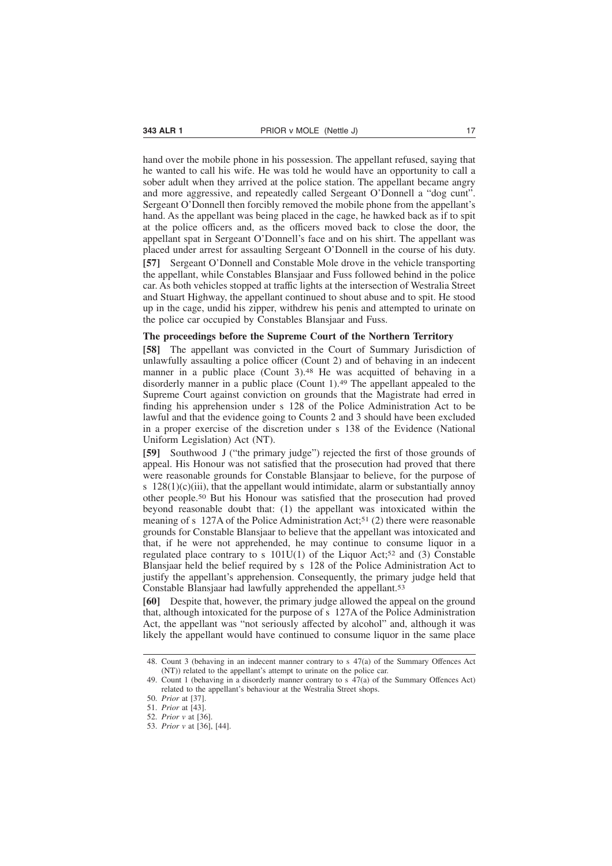hand over the mobile phone in his possession. The appellant refused, saying that he wanted to call his wife. He was told he would have an opportunity to call a sober adult when they arrived at the police station. The appellant became angry and more aggressive, and repeatedly called Sergeant O'Donnell a "dog cunt". Sergeant O'Donnell then forcibly removed the mobile phone from the appellant's hand. As the appellant was being placed in the cage, he hawked back as if to spit at the police officers and, as the officers moved back to close the door, the appellant spat in Sergeant O'Donnell's face and on his shirt. The appellant was placed under arrest for assaulting Sergeant O'Donnell in the course of his duty. **[57]** Sergeant O'Donnell and Constable Mole drove in the vehicle transporting the appellant, while Constables Blansjaar and Fuss followed behind in the police car. As both vehicles stopped at traffic lights at the intersection of Westralia Street and Stuart Highway, the appellant continued to shout abuse and to spit. He stood up in the cage, undid his zipper, withdrew his penis and attempted to urinate on the police car occupied by Constables Blansjaar and Fuss.

#### **The proceedings before the Supreme Court of the Northern Territory**

**[58]** The appellant was convicted in the Court of Summary Jurisdiction of unlawfully assaulting a police officer (Count 2) and of behaving in an indecent manner in a public place (Count 3).48 He was acquitted of behaving in a disorderly manner in a public place (Count 1).49 The appellant appealed to the Supreme Court against conviction on grounds that the Magistrate had erred in finding his apprehension under s 128 of the Police Administration Act to be lawful and that the evidence going to Counts 2 and 3 should have been excluded in a proper exercise of the discretion under s 138 of the Evidence (National Uniform Legislation) Act (NT).

**[59]** Southwood J ("the primary judge") rejected the first of those grounds of appeal. His Honour was not satisfied that the prosecution had proved that there were reasonable grounds for Constable Blansjaar to believe, for the purpose of s  $128(1)(c)(iii)$ , that the appellant would intimidate, alarm or substantially annoy other people.50 But his Honour was satisfied that the prosecution had proved beyond reasonable doubt that: (1) the appellant was intoxicated within the meaning of s 127A of the Police Administration Act;51 (2) there were reasonable grounds for Constable Blansjaar to believe that the appellant was intoxicated and that, if he were not apprehended, he may continue to consume liquor in a regulated place contrary to s  $101U(1)$  of the Liquor Act;<sup>52</sup> and (3) Constable Blansjaar held the belief required by s 128 of the Police Administration Act to justify the appellant's apprehension. Consequently, the primary judge held that Constable Blansjaar had lawfully apprehended the appellant.53

**[60]** Despite that, however, the primary judge allowed the appeal on the ground that, although intoxicated for the purpose of s 127A of the Police Administration Act, the appellant was "not seriously affected by alcohol" and, although it was likely the appellant would have continued to consume liquor in the same place

<sup>48.</sup> Count 3 (behaving in an indecent manner contrary to s 47(a) of the Summary Offences Act (NT)) related to the appellant's attempt to urinate on the police car.

<sup>49.</sup> Count 1 (behaving in a disorderly manner contrary to s 47(a) of the Summary Offences Act) related to the appellant's behaviour at the Westralia Street shops.

<sup>50.</sup> *Prior* at [37].

<sup>51.</sup> *Prior* at [43].

<sup>52.</sup> *Prior v* at [36].

<sup>53.</sup> *Prior v* at [36], [44].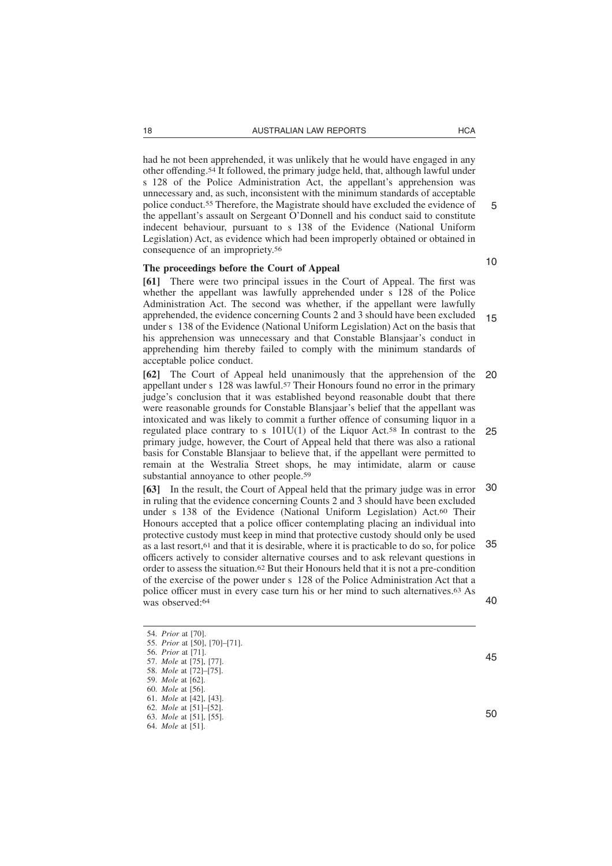had he not been apprehended, it was unlikely that he would have engaged in any other offending.54 It followed, the primary judge held, that, although lawful under s 128 of the Police Administration Act, the appellant's apprehension was unnecessary and, as such, inconsistent with the minimum standards of acceptable police conduct.55 Therefore, the Magistrate should have excluded the evidence of the appellant's assault on Sergeant O'Donnell and his conduct said to constitute indecent behaviour, pursuant to s 138 of the Evidence (National Uniform Legislation) Act, as evidence which had been improperly obtained or obtained in consequence of an impropriety.56

# **The proceedings before the Court of Appeal**

**[61]** There were two principal issues in the Court of Appeal. The first was whether the appellant was lawfully apprehended under s 128 of the Police Administration Act. The second was whether, if the appellant were lawfully apprehended, the evidence concerning Counts 2 and 3 should have been excluded under s 138 of the Evidence (National Uniform Legislation) Act on the basis that his apprehension was unnecessary and that Constable Blansjaar's conduct in apprehending him thereby failed to comply with the minimum standards of acceptable police conduct. 15

**[62]** The Court of Appeal held unanimously that the apprehension of the appellant under s 128 was lawful.57 Their Honours found no error in the primary judge's conclusion that it was established beyond reasonable doubt that there were reasonable grounds for Constable Blansjaar's belief that the appellant was intoxicated and was likely to commit a further offence of consuming liquor in a regulated place contrary to s 101U(1) of the Liquor Act.58 In contrast to the primary judge, however, the Court of Appeal held that there was also a rational basis for Constable Blansjaar to believe that, if the appellant were permitted to remain at the Westralia Street shops, he may intimidate, alarm or cause substantial annoyance to other people.59 20 25

**[63]** In the result, the Court of Appeal held that the primary judge was in error in ruling that the evidence concerning Counts 2 and 3 should have been excluded under s 138 of the Evidence (National Uniform Legislation) Act.60 Their Honours accepted that a police officer contemplating placing an individual into protective custody must keep in mind that protective custody should only be used as a last resort,61 and that it is desirable, where it is practicable to do so, for police officers actively to consider alternative courses and to ask relevant questions in order to assess the situation.62 But their Honours held that it is not a pre-condition of the exercise of the power under s 128 of the Police Administration Act that a police officer must in every case turn his or her mind to such alternatives.63 As was observed:64 30 35 40

45

50

10

<sup>54.</sup> *Prior* at [70].

<sup>55.</sup> *Prior* at [50], [70]–[71].

<sup>56.</sup> *Prior* at [71].

<sup>57.</sup> *Mole* at [75], [77].

<sup>58.</sup> *Mole* at [72]–[75]. 59. *Mole* at [62].

<sup>60.</sup> *Mole* at [56].

<sup>61.</sup> *Mole* at [42], [43]. 62. *Mole* at [51]–[52].

<sup>63.</sup> *Mole* at [51], [55].

<sup>64.</sup> *Mole* at [51].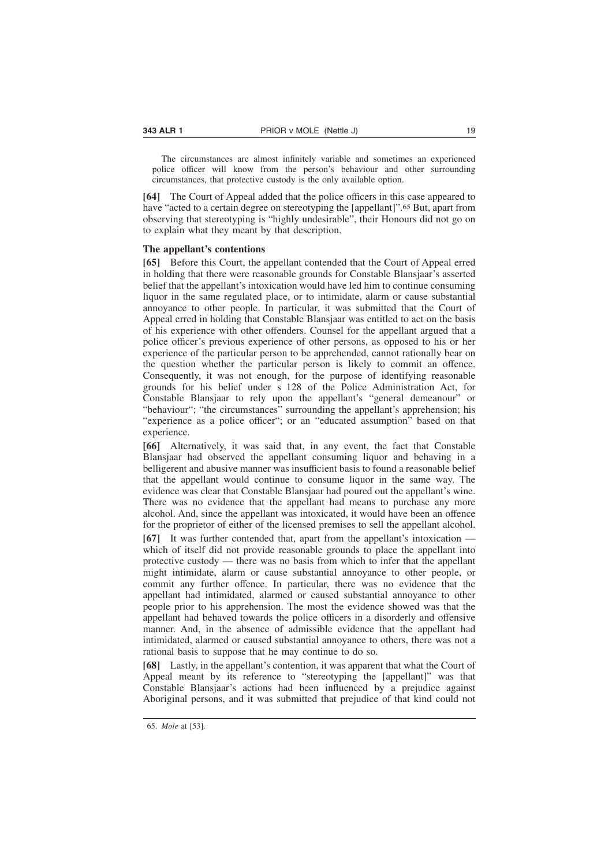The circumstances are almost infinitely variable and sometimes an experienced police officer will know from the person's behaviour and other surrounding circumstances, that protective custody is the only available option.

**[64]** The Court of Appeal added that the police officers in this case appeared to have "acted to a certain degree on stereotyping the [appellant]".65 But, apart from observing that stereotyping is "highly undesirable", their Honours did not go on to explain what they meant by that description.

## **The appellant's contentions**

**[65]** Before this Court, the appellant contended that the Court of Appeal erred in holding that there were reasonable grounds for Constable Blansjaar's asserted belief that the appellant's intoxication would have led him to continue consuming liquor in the same regulated place, or to intimidate, alarm or cause substantial annoyance to other people. In particular, it was submitted that the Court of Appeal erred in holding that Constable Blansjaar was entitled to act on the basis of his experience with other offenders. Counsel for the appellant argued that a police officer's previous experience of other persons, as opposed to his or her experience of the particular person to be apprehended, cannot rationally bear on the question whether the particular person is likely to commit an offence. Consequently, it was not enough, for the purpose of identifying reasonable grounds for his belief under s 128 of the Police Administration Act, for Constable Blansjaar to rely upon the appellant's "general demeanour" or "behaviour"; "the circumstances" surrounding the appellant's apprehension; his "experience as a police officer"; or an "educated assumption" based on that experience.

**[66]** Alternatively, it was said that, in any event, the fact that Constable Blansjaar had observed the appellant consuming liquor and behaving in a belligerent and abusive manner was insufficient basis to found a reasonable belief that the appellant would continue to consume liquor in the same way. The evidence was clear that Constable Blansjaar had poured out the appellant's wine. There was no evidence that the appellant had means to purchase any more alcohol. And, since the appellant was intoxicated, it would have been an offence for the proprietor of either of the licensed premises to sell the appellant alcohol.

**[67]** It was further contended that, apart from the appellant's intoxication which of itself did not provide reasonable grounds to place the appellant into protective custody — there was no basis from which to infer that the appellant might intimidate, alarm or cause substantial annoyance to other people, or commit any further offence. In particular, there was no evidence that the appellant had intimidated, alarmed or caused substantial annoyance to other people prior to his apprehension. The most the evidence showed was that the appellant had behaved towards the police officers in a disorderly and offensive manner. And, in the absence of admissible evidence that the appellant had intimidated, alarmed or caused substantial annoyance to others, there was not a rational basis to suppose that he may continue to do so.

**[68]** Lastly, in the appellant's contention, it was apparent that what the Court of Appeal meant by its reference to "stereotyping the [appellant]" was that Constable Blansjaar's actions had been influenced by a prejudice against Aboriginal persons, and it was submitted that prejudice of that kind could not

<sup>65.</sup> *Mole* at [53].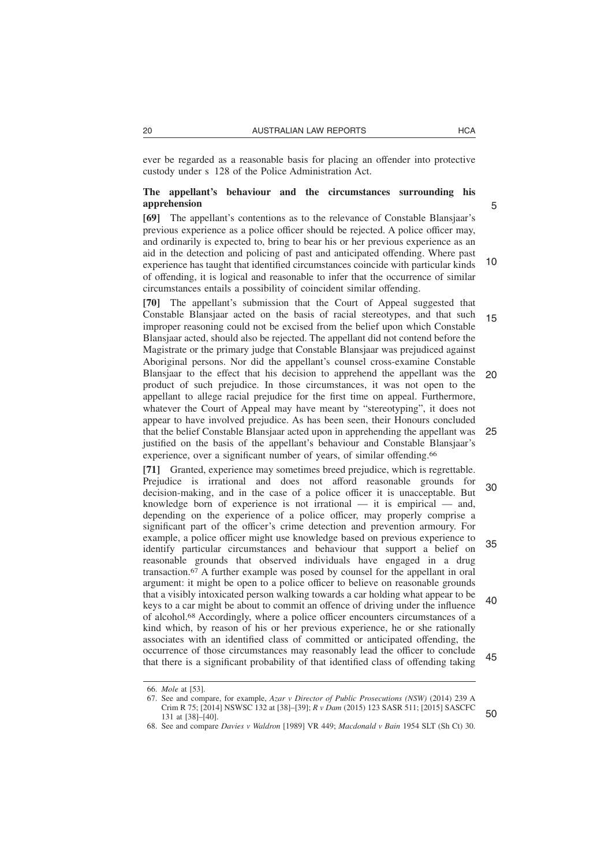ever be regarded as a reasonable basis for placing an offender into protective custody under s 128 of the Police Administration Act.

## **The appellant's behaviour and the circumstances surrounding his apprehension**

**[69]** The appellant's contentions as to the relevance of Constable Blansjaar's previous experience as a police officer should be rejected. A police officer may, and ordinarily is expected to, bring to bear his or her previous experience as an aid in the detection and policing of past and anticipated offending. Where past experience has taught that identified circumstances coincide with particular kinds of offending, it is logical and reasonable to infer that the occurrence of similar circumstances entails a possibility of coincident similar offending. 10

**[70]** The appellant's submission that the Court of Appeal suggested that Constable Blansjaar acted on the basis of racial stereotypes, and that such improper reasoning could not be excised from the belief upon which Constable Blansjaar acted, should also be rejected. The appellant did not contend before the Magistrate or the primary judge that Constable Blansjaar was prejudiced against Aboriginal persons. Nor did the appellant's counsel cross-examine Constable Blansjaar to the effect that his decision to apprehend the appellant was the product of such prejudice. In those circumstances, it was not open to the appellant to allege racial prejudice for the first time on appeal. Furthermore, whatever the Court of Appeal may have meant by "stereotyping", it does not appear to have involved prejudice. As has been seen, their Honours concluded that the belief Constable Blansjaar acted upon in apprehending the appellant was justified on the basis of the appellant's behaviour and Constable Blansjaar's experience, over a significant number of years, of similar offending.<sup>66</sup> 15 20 25

**[71]** Granted, experience may sometimes breed prejudice, which is regrettable. Prejudice is irrational and does not afford reasonable grounds for decision-making, and in the case of a police officer it is unacceptable. But knowledge born of experience is not irrational  $-$  it is empirical  $-$  and, depending on the experience of a police officer, may properly comprise a significant part of the officer's crime detection and prevention armoury. For example, a police officer might use knowledge based on previous experience to identify particular circumstances and behaviour that support a belief on reasonable grounds that observed individuals have engaged in a drug transaction.67 A further example was posed by counsel for the appellant in oral argument: it might be open to a police officer to believe on reasonable grounds that a visibly intoxicated person walking towards a car holding what appear to be keys to a car might be about to commit an offence of driving under the influence of alcohol.68 Accordingly, where a police officer encounters circumstances of a kind which, by reason of his or her previous experience, he or she rationally associates with an identified class of committed or anticipated offending, the occurrence of those circumstances may reasonably lead the officer to conclude that there is a significant probability of that identified class of offending taking 30 35 40 45

50

<sup>66.</sup> *Mole* at [53].

<sup>67.</sup> See and compare, for example, *Azar v Director of Public Prosecutions (NSW)* (2014) 239 A Crim R 75; [2014] NSWSC 132 at [38]–[39]; *R v Dam* (2015) 123 SASR 511; [2015] SASCFC 131 at [38]–[40].

<sup>68.</sup> See and compare *Davies v Waldron* [1989] VR 449; *Macdonald v Bain* 1954 SLT (Sh Ct) 30.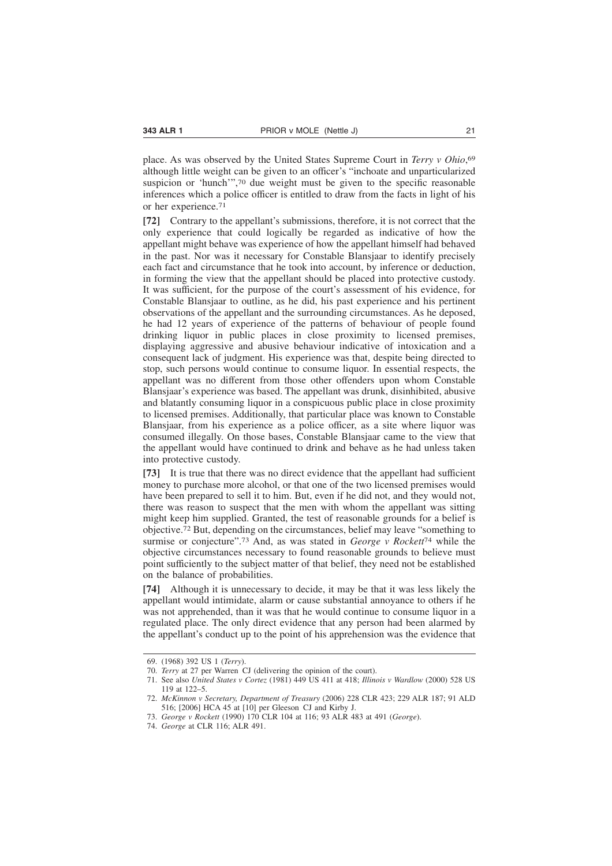place. As was observed by the United States Supreme Court in *Terry v Ohio*, 69 although little weight can be given to an officer's "inchoate and unparticularized suspicion or 'hunch'",70 due weight must be given to the specific reasonable inferences which a police officer is entitled to draw from the facts in light of his or her experience.71

**[72]** Contrary to the appellant's submissions, therefore, it is not correct that the only experience that could logically be regarded as indicative of how the appellant might behave was experience of how the appellant himself had behaved in the past. Nor was it necessary for Constable Blansjaar to identify precisely each fact and circumstance that he took into account, by inference or deduction, in forming the view that the appellant should be placed into protective custody. It was sufficient, for the purpose of the court's assessment of his evidence, for Constable Blansjaar to outline, as he did, his past experience and his pertinent observations of the appellant and the surrounding circumstances. As he deposed, he had 12 years of experience of the patterns of behaviour of people found drinking liquor in public places in close proximity to licensed premises, displaying aggressive and abusive behaviour indicative of intoxication and a consequent lack of judgment. His experience was that, despite being directed to stop, such persons would continue to consume liquor. In essential respects, the appellant was no different from those other offenders upon whom Constable Blansjaar's experience was based. The appellant was drunk, disinhibited, abusive and blatantly consuming liquor in a conspicuous public place in close proximity to licensed premises. Additionally, that particular place was known to Constable Blansjaar, from his experience as a police officer, as a site where liquor was consumed illegally. On those bases, Constable Blansjaar came to the view that the appellant would have continued to drink and behave as he had unless taken into protective custody.

**[73]** It is true that there was no direct evidence that the appellant had sufficient money to purchase more alcohol, or that one of the two licensed premises would have been prepared to sell it to him. But, even if he did not, and they would not, there was reason to suspect that the men with whom the appellant was sitting might keep him supplied. Granted, the test of reasonable grounds for a belief is objective.72 But, depending on the circumstances, belief may leave "something to surmise or conjecture".73 And, as was stated in *George v Rockett*74 while the objective circumstances necessary to found reasonable grounds to believe must point sufficiently to the subject matter of that belief, they need not be established on the balance of probabilities.

**[74]** Although it is unnecessary to decide, it may be that it was less likely the appellant would intimidate, alarm or cause substantial annoyance to others if he was not apprehended, than it was that he would continue to consume liquor in a regulated place. The only direct evidence that any person had been alarmed by the appellant's conduct up to the point of his apprehension was the evidence that

<sup>69. (1968) 392</sup> US 1 (*Terry*).

<sup>70.</sup> *Terry* at 27 per Warren CJ (delivering the opinion of the court).

<sup>71.</sup> See also *United States v Cortez* (1981) 449 US 411 at 418; *Illinois v Wardlow* (2000) 528 US 119 at 122–5.

<sup>72.</sup> *McKinnon v Secretary, Department of Treasury* (2006) 228 CLR 423; 229 ALR 187; 91 ALD 516; [2006] HCA 45 at [10] per Gleeson CJ and Kirby J.

<sup>73.</sup> *George v Rockett* (1990) 170 CLR 104 at 116; 93 ALR 483 at 491 (*George*).

<sup>74.</sup> *George* at CLR 116; ALR 491.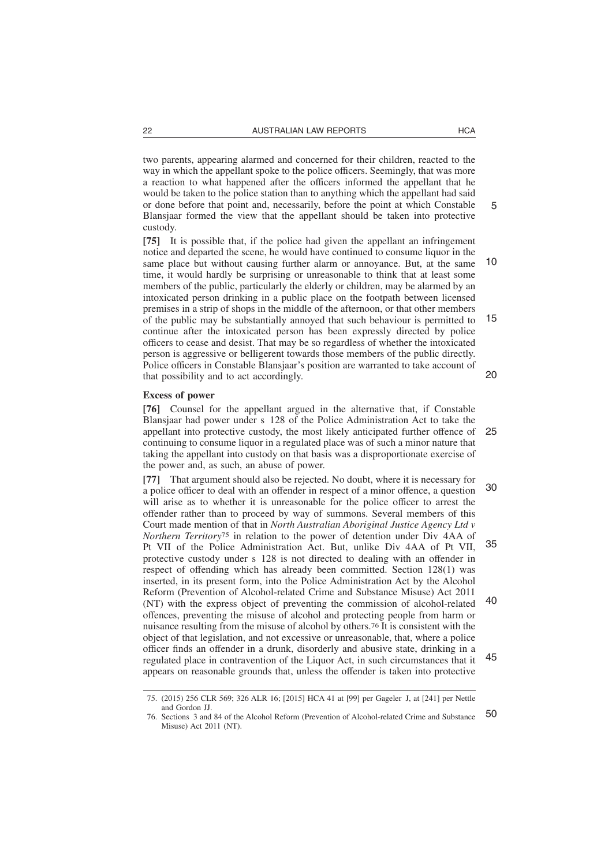two parents, appearing alarmed and concerned for their children, reacted to the way in which the appellant spoke to the police officers. Seemingly, that was more a reaction to what happened after the officers informed the appellant that he would be taken to the police station than to anything which the appellant had said or done before that point and, necessarily, before the point at which Constable Blansjaar formed the view that the appellant should be taken into protective custody.

**[75]** It is possible that, if the police had given the appellant an infringement notice and departed the scene, he would have continued to consume liquor in the same place but without causing further alarm or annoyance. But, at the same time, it would hardly be surprising or unreasonable to think that at least some members of the public, particularly the elderly or children, may be alarmed by an intoxicated person drinking in a public place on the footpath between licensed premises in a strip of shops in the middle of the afternoon, or that other members of the public may be substantially annoyed that such behaviour is permitted to continue after the intoxicated person has been expressly directed by police officers to cease and desist. That may be so regardless of whether the intoxicated person is aggressive or belligerent towards those members of the public directly. Police officers in Constable Blansjaar's position are warranted to take account of that possibility and to act accordingly. 10 15 20

## **Excess of power**

**[76]** Counsel for the appellant argued in the alternative that, if Constable Blansjaar had power under s 128 of the Police Administration Act to take the appellant into protective custody, the most likely anticipated further offence of 25 continuing to consume liquor in a regulated place was of such a minor nature that taking the appellant into custody on that basis was a disproportionate exercise of the power and, as such, an abuse of power.

**[77]** That argument should also be rejected. No doubt, where it is necessary for a police officer to deal with an offender in respect of a minor offence, a question will arise as to whether it is unreasonable for the police officer to arrest the offender rather than to proceed by way of summons. Several members of this Court made mention of that in *North Australian Aboriginal Justice Agency Ltd v Northern Territory*75 in relation to the power of detention under Div 4AA of Pt VII of the Police Administration Act. But, unlike Div 4AA of Pt VII, protective custody under s 128 is not directed to dealing with an offender in respect of offending which has already been committed. Section 128(1) was inserted, in its present form, into the Police Administration Act by the Alcohol Reform (Prevention of Alcohol-related Crime and Substance Misuse) Act 2011 (NT) with the express object of preventing the commission of alcohol-related offences, preventing the misuse of alcohol and protecting people from harm or nuisance resulting from the misuse of alcohol by others.76 It is consistent with the object of that legislation, and not excessive or unreasonable, that, where a police officer finds an offender in a drunk, disorderly and abusive state, drinking in a regulated place in contravention of the Liquor Act, in such circumstances that it appears on reasonable grounds that, unless the offender is taken into protective 30 35  $40$ 45

<sup>75. (2015) 256</sup> CLR 569; 326 ALR 16; [2015] HCA 41 at [99] per Gageler J, at [241] per Nettle and Gordon JJ.

<sup>76.</sup> Sections 3 and 84 of the Alcohol Reform (Prevention of Alcohol-related Crime and Substance Misuse) Act 2011 (NT). 50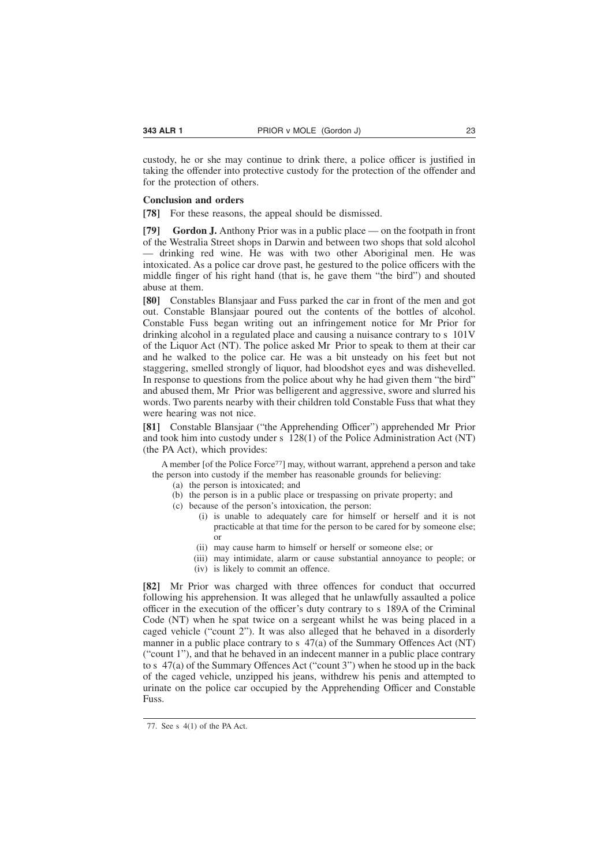custody, he or she may continue to drink there, a police officer is justified in taking the offender into protective custody for the protection of the offender and for the protection of others.

#### **Conclusion and orders**

**[78]** For these reasons, the appeal should be dismissed.

**[79] Gordon J.** Anthony Prior was in a public place — on the footpath in front of the Westralia Street shops in Darwin and between two shops that sold alcohol — drinking red wine. He was with two other Aboriginal men. He was intoxicated. As a police car drove past, he gestured to the police officers with the middle finger of his right hand (that is, he gave them "the bird") and shouted abuse at them.

**[80]** Constables Blansjaar and Fuss parked the car in front of the men and got out. Constable Blansjaar poured out the contents of the bottles of alcohol. Constable Fuss began writing out an infringement notice for Mr Prior for drinking alcohol in a regulated place and causing a nuisance contrary to s 101V of the Liquor Act (NT). The police asked Mr Prior to speak to them at their car and he walked to the police car. He was a bit unsteady on his feet but not staggering, smelled strongly of liquor, had bloodshot eyes and was dishevelled. In response to questions from the police about why he had given them "the bird" and abused them, Mr Prior was belligerent and aggressive, swore and slurred his words. Two parents nearby with their children told Constable Fuss that what they were hearing was not nice.

**[81]** Constable Blansjaar ("the Apprehending Officer") apprehended Mr Prior and took him into custody under s 128(1) of the Police Administration Act (NT) (the PA Act), which provides:

A member [of the Police Force77] may, without warrant, apprehend a person and take the person into custody if the member has reasonable grounds for believing:

- (a) the person is intoxicated; and
- (b) the person is in a public place or trespassing on private property; and
- (c) because of the person's intoxication, the person:
	- (i) is unable to adequately care for himself or herself and it is not practicable at that time for the person to be cared for by someone else; or
	- (ii) may cause harm to himself or herself or someone else; or
	- (iii) may intimidate, alarm or cause substantial annoyance to people; or
	- (iv) is likely to commit an offence.

**[82]** Mr Prior was charged with three offences for conduct that occurred following his apprehension. It was alleged that he unlawfully assaulted a police officer in the execution of the officer's duty contrary to s 189A of the Criminal Code (NT) when he spat twice on a sergeant whilst he was being placed in a caged vehicle ("count 2"). It was also alleged that he behaved in a disorderly manner in a public place contrary to s  $47(a)$  of the Summary Offences Act (NT) ("count 1"), and that he behaved in an indecent manner in a public place contrary to s 47(a) of the Summary Offences Act ("count 3") when he stood up in the back of the caged vehicle, unzipped his jeans, withdrew his penis and attempted to urinate on the police car occupied by the Apprehending Officer and Constable Fuss.

<sup>77.</sup> See s 4(1) of the PA Act.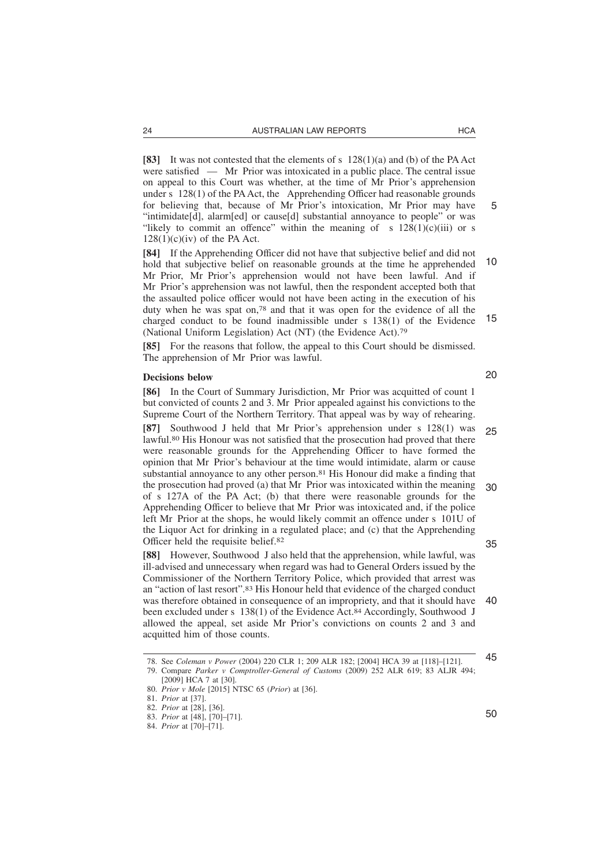**[83]** It was not contested that the elements of s 128(1)(a) and (b) of the PA Act were satisfied — Mr Prior was intoxicated in a public place. The central issue on appeal to this Court was whether, at the time of Mr Prior's apprehension under s 128(1) of the PA Act, the Apprehending Officer had reasonable grounds for believing that, because of Mr Prior's intoxication, Mr Prior may have "intimidate[d], alarm[ed] or cause[d] substantial annoyance to people" or was "likely to commit an offence" within the meaning of s  $128(1)(c)(iii)$  or s  $128(1)(c)(iv)$  of the PA Act.

**[84]** If the Apprehending Officer did not have that subjective belief and did not hold that subjective belief on reasonable grounds at the time he apprehended Mr Prior, Mr Prior's apprehension would not have been lawful. And if Mr Prior's apprehension was not lawful, then the respondent accepted both that the assaulted police officer would not have been acting in the execution of his duty when he was spat on,78 and that it was open for the evidence of all the charged conduct to be found inadmissible under s 138(1) of the Evidence (National Uniform Legislation) Act (NT) (the Evidence Act).79 10 15

**[85]** For the reasons that follow, the appeal to this Court should be dismissed. The apprehension of Mr Prior was lawful.

## **Decisions below**

**[86]** In the Court of Summary Jurisdiction, Mr Prior was acquitted of count 1 but convicted of counts 2 and 3. Mr Prior appealed against his convictions to the Supreme Court of the Northern Territory. That appeal was by way of rehearing.

**[87]** Southwood J held that Mr Prior's apprehension under s 128(1) was lawful.80 His Honour was not satisfied that the prosecution had proved that there were reasonable grounds for the Apprehending Officer to have formed the opinion that Mr Prior's behaviour at the time would intimidate, alarm or cause substantial annoyance to any other person.81 His Honour did make a finding that the prosecution had proved (a) that Mr Prior was intoxicated within the meaning of s 127A of the PA Act; (b) that there were reasonable grounds for the Apprehending Officer to believe that Mr Prior was intoxicated and, if the police left Mr Prior at the shops, he would likely commit an offence under s 101U of the Liquor Act for drinking in a regulated place; and (c) that the Apprehending Officer held the requisite belief.82 25 30 35

**[88]** However, Southwood J also held that the apprehension, while lawful, was ill-advised and unnecessary when regard was had to General Orders issued by the Commissioner of the Northern Territory Police, which provided that arrest was an "action of last resort".83 His Honour held that evidence of the charged conduct was therefore obtained in consequence of an impropriety, and that it should have been excluded under s 138(1) of the Evidence Act.<sup>84</sup> Accordingly, Southwood J allowed the appeal, set aside Mr Prior's convictions on counts 2 and 3 and acquitted him of those counts. 40

5

20

<sup>78.</sup> See *Coleman v Power* (2004) 220 CLR 1; 209 ALR 182; [2004] HCA 39 at [118]–[121]. 79. Compare *Parker v Comptroller-General of Customs* (2009) 252 ALR 619; 83 ALJR 494;

<sup>[2009]</sup> HCA 7 at [30].

<sup>80.</sup> *Prior v Mole* [2015] NTSC 65 (*Prior*) at [36].

<sup>81.</sup> *Prior* at [37].

<sup>82.</sup> *Prior* at [28], [36].

<sup>83.</sup> *Prior* at [48], [70]–[71].

<sup>84.</sup> *Prior* at [70]–[71].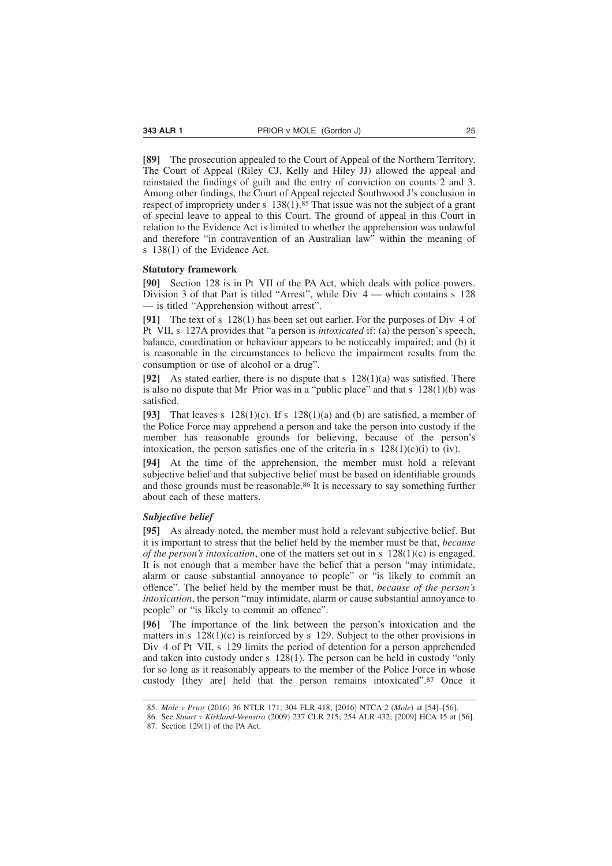**[89]** The prosecution appealed to the Court of Appeal of the Northern Territory. The Court of Appeal (Riley CJ, Kelly and Hiley JJ) allowed the appeal and reinstated the findings of guilt and the entry of conviction on counts 2 and 3. Among other findings, the Court of Appeal rejected Southwood J's conclusion in respect of impropriety under s 138(1).85 That issue was not the subject of a grant of special leave to appeal to this Court. The ground of appeal in this Court in relation to the Evidence Act is limited to whether the apprehension was unlawful and therefore "in contravention of an Australian law" within the meaning of s 138(1) of the Evidence Act.

## **Statutory framework**

**[90]** Section 128 is in Pt VII of the PA Act, which deals with police powers. Division 3 of that Part is titled "Arrest", while Div 4 — which contains s 128 — is titled "Apprehension without arrest".

**[91]** The text of s 128(1) has been set out earlier. For the purposes of Div 4 of Pt VII, s 127A provides that "a person is *intoxicated* if: (a) the person's speech, balance, coordination or behaviour appears to be noticeably impaired; and (b) it is reasonable in the circumstances to believe the impairment results from the consumption or use of alcohol or a drug".

**[92]** As stated earlier, there is no dispute that s 128(1)(a) was satisfied. There is also no dispute that Mr Prior was in a "public place" and that  $s$  128(1)(b) was satisfied.

**[93]** That leaves s  $128(1)(c)$ . If s  $128(1)(a)$  and (b) are satisfied, a member of the Police Force may apprehend a person and take the person into custody if the member has reasonable grounds for believing, because of the person's intoxication, the person satisfies one of the criteria in s  $128(1)(c)(i)$  to (iv).

**[94]** At the time of the apprehension, the member must hold a relevant subjective belief and that subjective belief must be based on identifiable grounds and those grounds must be reasonable.86 It is necessary to say something further about each of these matters.

## *Subjective belief*

**[95]** As already noted, the member must hold a relevant subjective belief. But it is important to stress that the belief held by the member must be that, *because of the person's intoxication*, one of the matters set out in s 128(1)(c) is engaged. It is not enough that a member have the belief that a person "may intimidate, alarm or cause substantial annoyance to people" or "is likely to commit an offence". The belief held by the member must be that, *because of the person's intoxication*, the person "may intimidate, alarm or cause substantial annoyance to people" or "is likely to commit an offence".

**[96]** The importance of the link between the person's intoxication and the matters in s  $128(1)(c)$  is reinforced by s 129. Subject to the other provisions in Div 4 of Pt VII, s 129 limits the period of detention for a person apprehended and taken into custody under s 128(1). The person can be held in custody "only for so long as it reasonably appears to the member of the Police Force in whose custody [they are] held that the person remains intoxicated".87 Once it

<sup>85.</sup> *Mole v Prior* (2016) 36 NTLR 171; 304 FLR 418; [2016] NTCA 2 (*Mole*) at [54]–[56].

<sup>86.</sup> See *Stuart v Kirkland-Veenstra* (2009) 237 CLR 215; 254 ALR 432; [2009] HCA 15 at [56]. 87. Section 129(1) of the PA Act.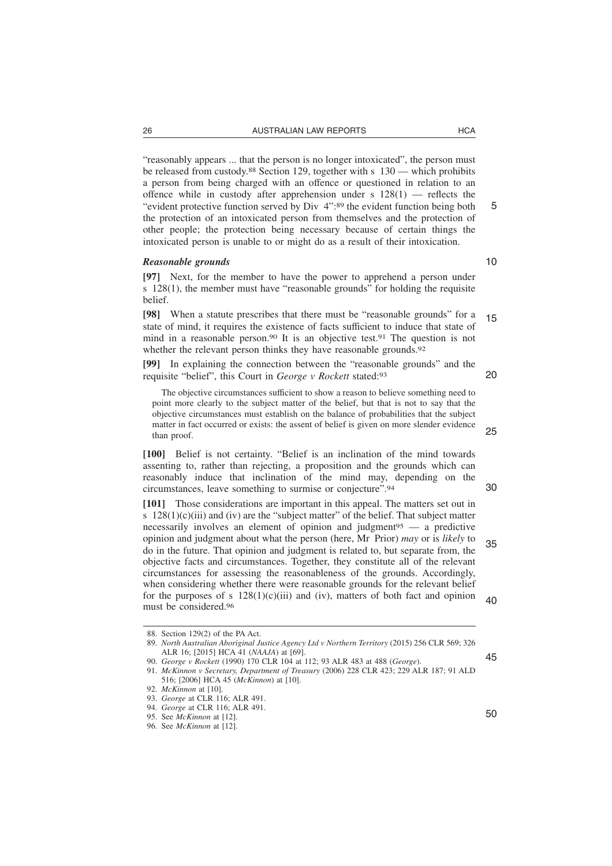"reasonably appears ... that the person is no longer intoxicated", the person must be released from custody.88 Section 129, together with s 130 — which prohibits a person from being charged with an offence or questioned in relation to an offence while in custody after apprehension under  $s$  128(1) — reflects the "evident protective function served by Div 4":89 the evident function being both the protection of an intoxicated person from themselves and the protection of other people; the protection being necessary because of certain things the intoxicated person is unable to or might do as a result of their intoxication.

#### *Reasonable grounds*

**[97]** Next, for the member to have the power to apprehend a person under s 128(1), the member must have "reasonable grounds" for holding the requisite belief.

**[98]** When a statute prescribes that there must be "reasonable grounds" for a state of mind, it requires the existence of facts sufficient to induce that state of mind in a reasonable person.90 It is an objective test.91 The question is not whether the relevant person thinks they have reasonable grounds.<sup>92</sup> 15

**[99]** In explaining the connection between the "reasonable grounds" and the requisite "belief", this Court in *George v Rockett* stated:93

The objective circumstances sufficient to show a reason to believe something need to point more clearly to the subject matter of the belief, but that is not to say that the objective circumstances must establish on the balance of probabilities that the subject matter in fact occurred or exists: the assent of belief is given on more slender evidence than proof.

**[100]** Belief is not certainty. "Belief is an inclination of the mind towards assenting to, rather than rejecting, a proposition and the grounds which can reasonably induce that inclination of the mind may, depending on the circumstances, leave something to surmise or conjecture".94

**[101]** Those considerations are important in this appeal. The matters set out in s 128(1)(c)(iii) and (iv) are the "subject matter" of the belief. That subject matter necessarily involves an element of opinion and judgment<sup>95</sup> — a predictive opinion and judgment about what the person (here, Mr Prior) *may* or is *likely* to do in the future. That opinion and judgment is related to, but separate from, the objective facts and circumstances. Together, they constitute all of the relevant circumstances for assessing the reasonableness of the grounds. Accordingly, when considering whether there were reasonable grounds for the relevant belief for the purposes of s  $128(1)(c)(iii)$  and (iv), matters of both fact and opinion must be considered.96 35 40

45

20

クら

30

5

10

<sup>88.</sup> Section 129(2) of the PA Act.

<sup>89.</sup> *North Australian Aboriginal Justice Agency Ltd v Northern Territory* (2015) 256 CLR 569; 326 ALR 16; [2015] HCA 41 (*NAAJA*) at [69].

<sup>90.</sup> *George v Rockett* (1990) 170 CLR 104 at 112; 93 ALR 483 at 488 (*George*). 91. *McKinnon v Secretary, Department of Treasury* (2006) 228 CLR 423; 229 ALR 187; 91 ALD 516; [2006] HCA 45 (*McKinnon*) at [10].

<sup>92.</sup> *McKinnon* at [10].

<sup>93.</sup> *George* at CLR 116; ALR 491.

<sup>94.</sup> *George* at CLR 116; ALR 491.

<sup>95.</sup> See *McKinnon* at [12].

<sup>96.</sup> See *McKinnon* at [12].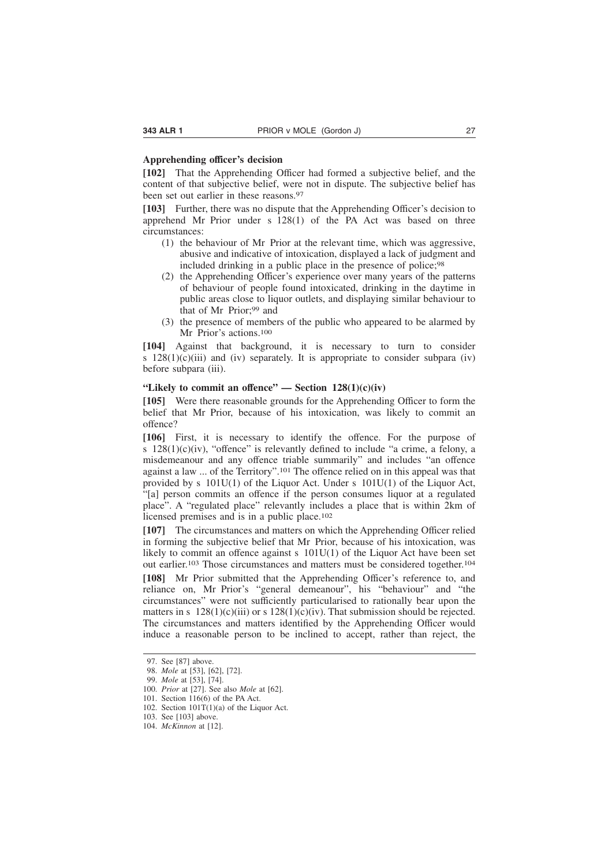## **Apprehending officer's decision**

**[102]** That the Apprehending Officer had formed a subjective belief, and the content of that subjective belief, were not in dispute. The subjective belief has been set out earlier in these reasons.97

**[103]** Further, there was no dispute that the Apprehending Officer's decision to apprehend Mr Prior under s 128(1) of the PA Act was based on three circumstances:

- (1) the behaviour of Mr Prior at the relevant time, which was aggressive, abusive and indicative of intoxication, displayed a lack of judgment and included drinking in a public place in the presence of police;98
- (2) the Apprehending Officer's experience over many years of the patterns of behaviour of people found intoxicated, drinking in the daytime in public areas close to liquor outlets, and displaying similar behaviour to that of Mr Prior;99 and
- (3) the presence of members of the public who appeared to be alarmed by Mr Prior's actions.100

**[104]** Against that background, it is necessary to turn to consider s  $128(1)(c)(iii)$  and (iv) separately. It is appropriate to consider subpara (iv) before subpara (iii).

## **"Likely to commit an offence" — Section 128(1)(c)(iv)**

**[105]** Were there reasonable grounds for the Apprehending Officer to form the belief that Mr Prior, because of his intoxication, was likely to commit an offence?

**[106]** First, it is necessary to identify the offence. For the purpose of s  $128(1)(c)(iv)$ , "offence" is relevantly defined to include "a crime, a felony, a misdemeanour and any offence triable summarily" and includes "an offence against a law ... of the Territory".101 The offence relied on in this appeal was that provided by s  $101U(1)$  of the Liquor Act. Under s  $101U(1)$  of the Liquor Act, "[a] person commits an offence if the person consumes liquor at a regulated place". A "regulated place" relevantly includes a place that is within 2km of licensed premises and is in a public place.<sup>102</sup>

**[107]** The circumstances and matters on which the Apprehending Officer relied in forming the subjective belief that Mr Prior, because of his intoxication, was likely to commit an offence against s  $101U(1)$  of the Liquor Act have been set out earlier.103 Those circumstances and matters must be considered together.104

**[108]** Mr Prior submitted that the Apprehending Officer's reference to, and reliance on, Mr Prior's "general demeanour", his "behaviour" and "the circumstances" were not sufficiently particularised to rationally bear upon the matters in s  $128(1)(c)(iii)$  or s  $128(1)(c)(iv)$ . That submission should be rejected. The circumstances and matters identified by the Apprehending Officer would induce a reasonable person to be inclined to accept, rather than reject, the

<sup>97.</sup> See [87] above.

<sup>98.</sup> *Mole* at [53], [62], [72].

<sup>99.</sup> *Mole* at [53], [74].

<sup>100.</sup> *Prior* at [27]. See also *Mole* at [62].

<sup>101.</sup> Section 116(6) of the PA Act.

<sup>102.</sup> Section  $101T(1)(a)$  of the Liquor Act.

<sup>103.</sup> See [103] above.

<sup>104.</sup> *McKinnon* at [12].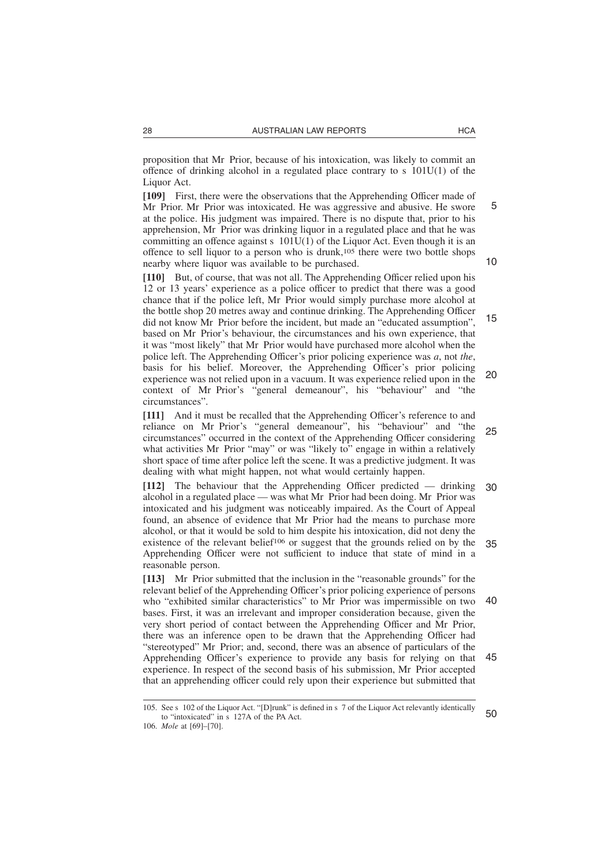proposition that Mr Prior, because of his intoxication, was likely to commit an offence of drinking alcohol in a regulated place contrary to s 101U(1) of the Liquor Act.

**[109]** First, there were the observations that the Apprehending Officer made of Mr Prior. Mr Prior was intoxicated. He was aggressive and abusive. He swore at the police. His judgment was impaired. There is no dispute that, prior to his apprehension, Mr Prior was drinking liquor in a regulated place and that he was committing an offence against s 101U(1) of the Liquor Act. Even though it is an offence to sell liquor to a person who is drunk,105 there were two bottle shops nearby where liquor was available to be purchased.

**[110]** But, of course, that was not all. The Apprehending Officer relied upon his 12 or 13 years' experience as a police officer to predict that there was a good chance that if the police left, Mr Prior would simply purchase more alcohol at the bottle shop 20 metres away and continue drinking. The Apprehending Officer did not know Mr Prior before the incident, but made an "educated assumption", based on Mr Prior's behaviour, the circumstances and his own experience, that it was "most likely" that Mr Prior would have purchased more alcohol when the police left. The Apprehending Officer's prior policing experience was *a*, not *the*, basis for his belief. Moreover, the Apprehending Officer's prior policing experience was not relied upon in a vacuum. It was experience relied upon in the context of Mr Prior's "general demeanour", his "behaviour" and "the circumstances". 15 20

**[111]** And it must be recalled that the Apprehending Officer's reference to and reliance on Mr Prior's "general demeanour", his "behaviour" and "the circumstances" occurred in the context of the Apprehending Officer considering what activities Mr Prior "may" or was "likely to" engage in within a relatively short space of time after police left the scene. It was a predictive judgment. It was dealing with what might happen, not what would certainly happen. 25

**[112]** The behaviour that the Apprehending Officer predicted — drinking alcohol in a regulated place — was what Mr Prior had been doing. Mr Prior was intoxicated and his judgment was noticeably impaired. As the Court of Appeal found, an absence of evidence that Mr Prior had the means to purchase more alcohol, or that it would be sold to him despite his intoxication, did not deny the existence of the relevant belief<sup>106</sup> or suggest that the grounds relied on by the Apprehending Officer were not sufficient to induce that state of mind in a reasonable person. 30 35

**[113]** Mr Prior submitted that the inclusion in the "reasonable grounds" for the relevant belief of the Apprehending Officer's prior policing experience of persons who "exhibited similar characteristics" to Mr Prior was impermissible on two bases. First, it was an irrelevant and improper consideration because, given the very short period of contact between the Apprehending Officer and Mr Prior, there was an inference open to be drawn that the Apprehending Officer had "stereotyped" Mr Prior; and, second, there was an absence of particulars of the Apprehending Officer's experience to provide any basis for relying on that experience. In respect of the second basis of his submission, Mr Prior accepted that an apprehending officer could rely upon their experience but submitted that 40

10

5

<sup>105.</sup> See s 102 of the Liquor Act. "[D]runk" is defined in s 7 of the Liquor Act relevantly identically to "intoxicated" in s 127A of the PA Act. 50

<sup>106.</sup> *Mole* at [69]–[70].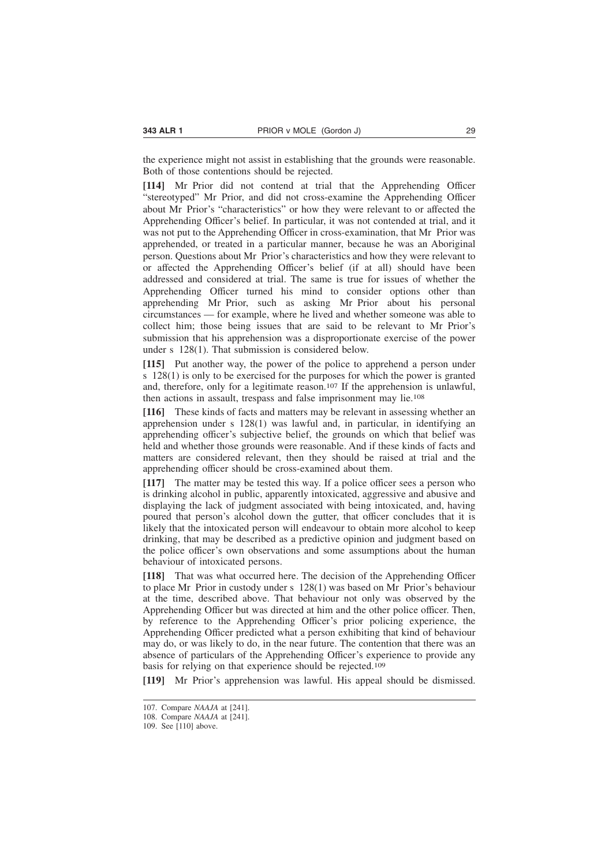the experience might not assist in establishing that the grounds were reasonable. Both of those contentions should be rejected.

[114] Mr Prior did not contend at trial that the Apprehending Officer "stereotyped" Mr Prior, and did not cross-examine the Apprehending Officer about Mr Prior's "characteristics" or how they were relevant to or affected the Apprehending Officer's belief. In particular, it was not contended at trial, and it was not put to the Apprehending Officer in cross-examination, that Mr Prior was apprehended, or treated in a particular manner, because he was an Aboriginal person. Questions about Mr Prior's characteristics and how they were relevant to or affected the Apprehending Officer's belief (if at all) should have been addressed and considered at trial. The same is true for issues of whether the Apprehending Officer turned his mind to consider options other than apprehending Mr Prior, such as asking Mr Prior about his personal circumstances — for example, where he lived and whether someone was able to collect him; those being issues that are said to be relevant to Mr Prior's submission that his apprehension was a disproportionate exercise of the power under s 128(1). That submission is considered below.

**[115]** Put another way, the power of the police to apprehend a person under s 128(1) is only to be exercised for the purposes for which the power is granted and, therefore, only for a legitimate reason.107 If the apprehension is unlawful, then actions in assault, trespass and false imprisonment may lie.108

**[116]** These kinds of facts and matters may be relevant in assessing whether an apprehension under s 128(1) was lawful and, in particular, in identifying an apprehending officer's subjective belief, the grounds on which that belief was held and whether those grounds were reasonable. And if these kinds of facts and matters are considered relevant, then they should be raised at trial and the apprehending officer should be cross-examined about them.

**[117]** The matter may be tested this way. If a police officer sees a person who is drinking alcohol in public, apparently intoxicated, aggressive and abusive and displaying the lack of judgment associated with being intoxicated, and, having poured that person's alcohol down the gutter, that officer concludes that it is likely that the intoxicated person will endeavour to obtain more alcohol to keep drinking, that may be described as a predictive opinion and judgment based on the police officer's own observations and some assumptions about the human behaviour of intoxicated persons.

**[118]** That was what occurred here. The decision of the Apprehending Officer to place Mr Prior in custody under s 128(1) was based on Mr Prior's behaviour at the time, described above. That behaviour not only was observed by the Apprehending Officer but was directed at him and the other police officer. Then, by reference to the Apprehending Officer's prior policing experience, the Apprehending Officer predicted what a person exhibiting that kind of behaviour may do, or was likely to do, in the near future. The contention that there was an absence of particulars of the Apprehending Officer's experience to provide any basis for relying on that experience should be rejected.109

**[119]** Mr Prior's apprehension was lawful. His appeal should be dismissed.

<sup>107.</sup> Compare *NAAJA* at [241].

<sup>108.</sup> Compare *NAAJA* at [241].

<sup>109.</sup> See [110] above.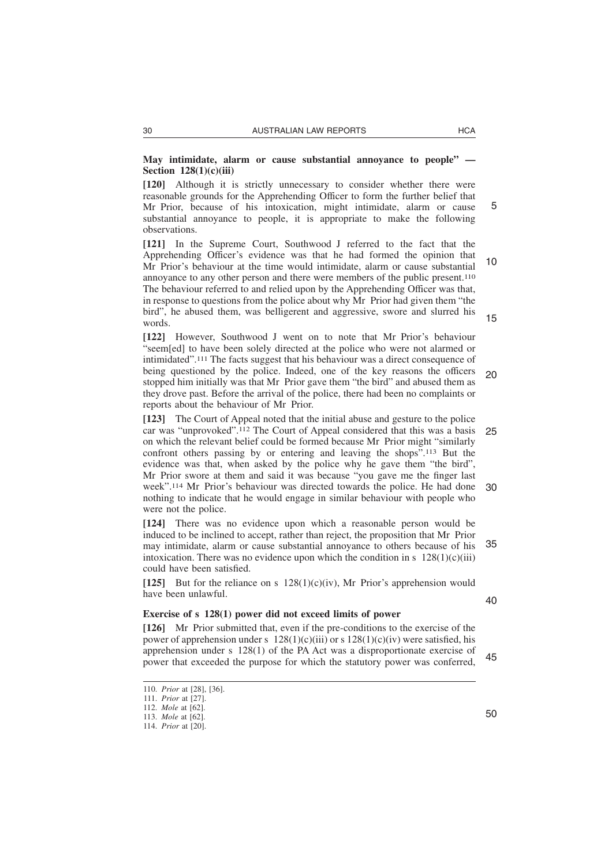## **May intimidate, alarm or cause substantial annoyance to people" — Section 128(1)(c)(iii)**

[120] Although it is strictly unnecessary to consider whether there were reasonable grounds for the Apprehending Officer to form the further belief that Mr Prior, because of his intoxication, might intimidate, alarm or cause substantial annoyance to people, it is appropriate to make the following observations.

**[121]** In the Supreme Court, Southwood J referred to the fact that the Apprehending Officer's evidence was that he had formed the opinion that Mr Prior's behaviour at the time would intimidate, alarm or cause substantial annoyance to any other person and there were members of the public present.110 The behaviour referred to and relied upon by the Apprehending Officer was that, in response to questions from the police about why Mr Prior had given them "the bird", he abused them, was belligerent and aggressive, swore and slurred his words.

**[122]** However, Southwood J went on to note that Mr Prior's behaviour "seem[ed] to have been solely directed at the police who were not alarmed or intimidated".111 The facts suggest that his behaviour was a direct consequence of being questioned by the police. Indeed, one of the key reasons the officers stopped him initially was that Mr Prior gave them "the bird" and abused them as they drove past. Before the arrival of the police, there had been no complaints or reports about the behaviour of Mr Prior. 20

**[123]** The Court of Appeal noted that the initial abuse and gesture to the police car was "unprovoked".112 The Court of Appeal considered that this was a basis on which the relevant belief could be formed because Mr Prior might "similarly confront others passing by or entering and leaving the shops".113 But the evidence was that, when asked by the police why he gave them "the bird", Mr Prior swore at them and said it was because "you gave me the finger last week".114 Mr Prior's behaviour was directed towards the police. He had done nothing to indicate that he would engage in similar behaviour with people who were not the police. 25 30

**[124]** There was no evidence upon which a reasonable person would be induced to be inclined to accept, rather than reject, the proposition that Mr Prior may intimidate, alarm or cause substantial annoyance to others because of his intoxication. There was no evidence upon which the condition in s  $128(1)(c)(iii)$ could have been satisfied. 35

[125] But for the reliance on s  $128(1)(c)(iv)$ , Mr Prior's apprehension would have been unlawful.

## **Exercise of s 128(1) power did not exceed limits of power**

**[126]** Mr Prior submitted that, even if the pre-conditions to the exercise of the power of apprehension under s  $128(1)(c)(iii)$  or s  $128(1)(c)(iv)$  were satisfied, his apprehension under s 128(1) of the PA Act was a disproportionate exercise of power that exceeded the purpose for which the statutory power was conferred, 45

5

10

<sup>110.</sup> *Prior* at [28], [36].

<sup>111.</sup> *Prior* at [27].

<sup>112.</sup> *Mole* at [62].

<sup>113.</sup> *Mole* at [62].

<sup>114.</sup> *Prior* at [20].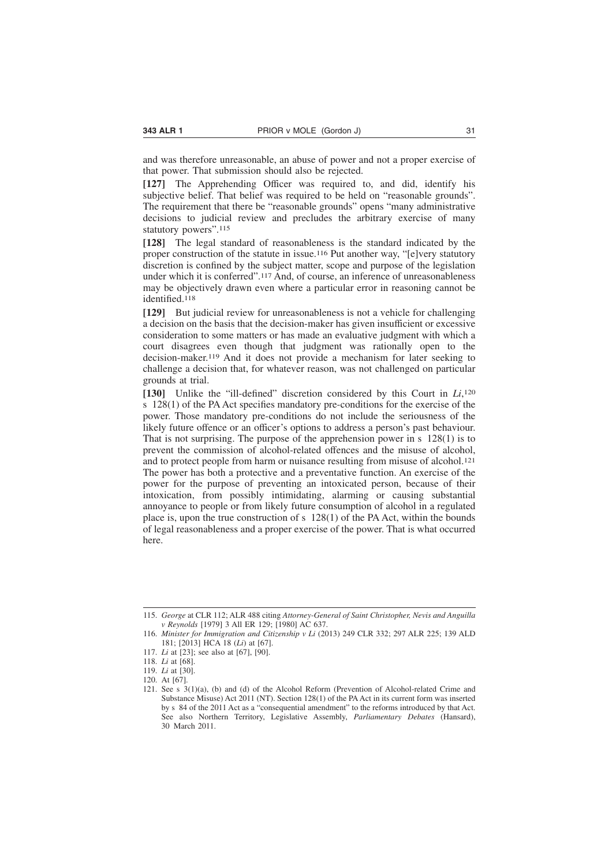and was therefore unreasonable, an abuse of power and not a proper exercise of that power. That submission should also be rejected.

**[127]** The Apprehending Officer was required to, and did, identify his subjective belief. That belief was required to be held on "reasonable grounds". The requirement that there be "reasonable grounds" opens "many administrative decisions to judicial review and precludes the arbitrary exercise of many statutory powers".115

**[128]** The legal standard of reasonableness is the standard indicated by the proper construction of the statute in issue.116 Put another way, "[e]very statutory discretion is confined by the subject matter, scope and purpose of the legislation under which it is conferred".117 And, of course, an inference of unreasonableness may be objectively drawn even where a particular error in reasoning cannot be identified.118

**[129]** But judicial review for unreasonableness is not a vehicle for challenging a decision on the basis that the decision-maker has given insufficient or excessive consideration to some matters or has made an evaluative judgment with which a court disagrees even though that judgment was rationally open to the decision-maker.119 And it does not provide a mechanism for later seeking to challenge a decision that, for whatever reason, was not challenged on particular grounds at trial.

[130] Unlike the "ill-defined" discretion considered by this Court in *Li*,<sup>120</sup> s 128(1) of the PA Act specifies mandatory pre-conditions for the exercise of the power. Those mandatory pre-conditions do not include the seriousness of the likely future offence or an officer's options to address a person's past behaviour. That is not surprising. The purpose of the apprehension power in s 128(1) is to prevent the commission of alcohol-related offences and the misuse of alcohol, and to protect people from harm or nuisance resulting from misuse of alcohol.121 The power has both a protective and a preventative function. An exercise of the power for the purpose of preventing an intoxicated person, because of their intoxication, from possibly intimidating, alarming or causing substantial annoyance to people or from likely future consumption of alcohol in a regulated place is, upon the true construction of s 128(1) of the PA Act, within the bounds of legal reasonableness and a proper exercise of the power. That is what occurred here.

<sup>115.</sup> *George* at CLR 112; ALR 488 citing *Attorney-General of Saint Christopher, Nevis and Anguilla v Reynolds* [1979] 3 All ER 129; [1980] AC 637.

<sup>116.</sup> *Minister for Immigration and Citizenship v Li* (2013) 249 CLR 332; 297 ALR 225; 139 ALD 181; [2013] HCA 18 (*Li*) at [67].

<sup>117.</sup> *Li* at [23]; see also at [67], [90].

<sup>118.</sup> *Li* at [68].

<sup>119.</sup> *Li* at [30].

<sup>120.</sup> At [67].

<sup>121.</sup> See s 3(1)(a), (b) and (d) of the Alcohol Reform (Prevention of Alcohol-related Crime and Substance Misuse) Act 2011 (NT). Section 128(1) of the PA Act in its current form was inserted by s 84 of the 2011 Act as a "consequential amendment" to the reforms introduced by that Act. See also Northern Territory, Legislative Assembly, *Parliamentary Debates* (Hansard), 30 March 2011.